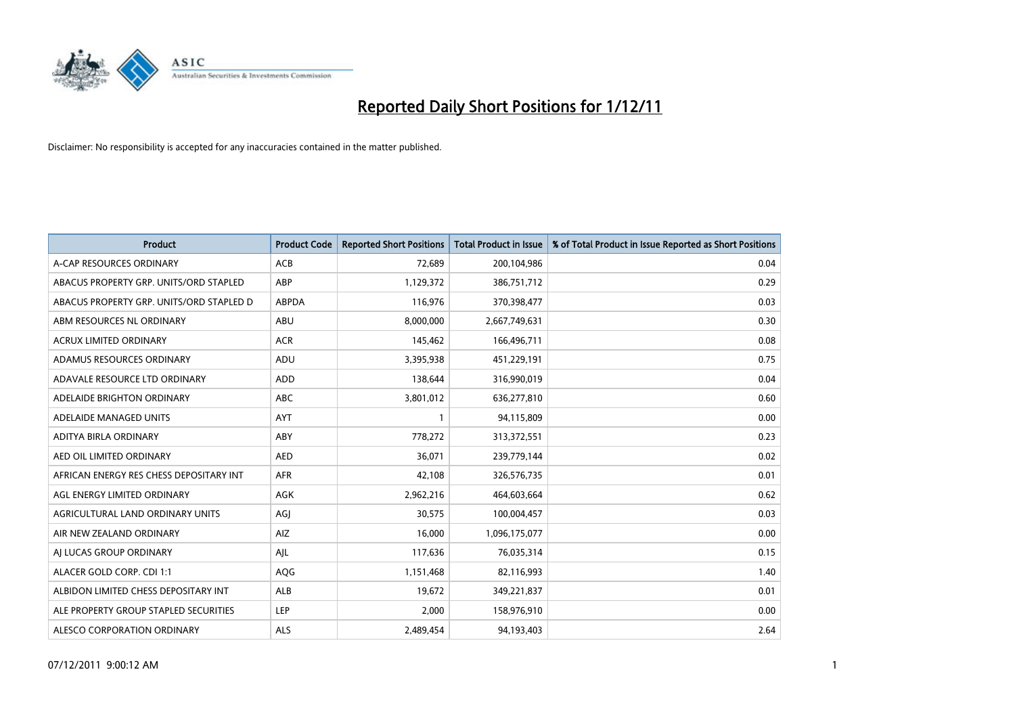

| <b>Product</b>                           | <b>Product Code</b> | <b>Reported Short Positions</b> | <b>Total Product in Issue</b> | % of Total Product in Issue Reported as Short Positions |
|------------------------------------------|---------------------|---------------------------------|-------------------------------|---------------------------------------------------------|
| A-CAP RESOURCES ORDINARY                 | <b>ACB</b>          | 72,689                          | 200,104,986                   | 0.04                                                    |
| ABACUS PROPERTY GRP. UNITS/ORD STAPLED   | ABP                 | 1,129,372                       | 386,751,712                   | 0.29                                                    |
| ABACUS PROPERTY GRP. UNITS/ORD STAPLED D | <b>ABPDA</b>        | 116,976                         | 370,398,477                   | 0.03                                                    |
| ABM RESOURCES NL ORDINARY                | ABU                 | 8,000,000                       | 2,667,749,631                 | 0.30                                                    |
| <b>ACRUX LIMITED ORDINARY</b>            | <b>ACR</b>          | 145,462                         | 166,496,711                   | 0.08                                                    |
| ADAMUS RESOURCES ORDINARY                | <b>ADU</b>          | 3,395,938                       | 451,229,191                   | 0.75                                                    |
| ADAVALE RESOURCE LTD ORDINARY            | <b>ADD</b>          | 138,644                         | 316,990,019                   | 0.04                                                    |
| ADELAIDE BRIGHTON ORDINARY               | <b>ABC</b>          | 3,801,012                       | 636,277,810                   | 0.60                                                    |
| ADELAIDE MANAGED UNITS                   | AYT                 | 1                               | 94,115,809                    | 0.00                                                    |
| ADITYA BIRLA ORDINARY                    | ABY                 | 778,272                         | 313,372,551                   | 0.23                                                    |
| AED OIL LIMITED ORDINARY                 | <b>AED</b>          | 36,071                          | 239,779,144                   | 0.02                                                    |
| AFRICAN ENERGY RES CHESS DEPOSITARY INT  | <b>AFR</b>          | 42,108                          | 326,576,735                   | 0.01                                                    |
| AGL ENERGY LIMITED ORDINARY              | <b>AGK</b>          | 2,962,216                       | 464,603,664                   | 0.62                                                    |
| AGRICULTURAL LAND ORDINARY UNITS         | AGJ                 | 30,575                          | 100,004,457                   | 0.03                                                    |
| AIR NEW ZEALAND ORDINARY                 | AIZ                 | 16,000                          | 1,096,175,077                 | 0.00                                                    |
| AI LUCAS GROUP ORDINARY                  | AJL                 | 117,636                         | 76,035,314                    | 0.15                                                    |
| ALACER GOLD CORP. CDI 1:1                | AQG                 | 1,151,468                       | 82,116,993                    | 1.40                                                    |
| ALBIDON LIMITED CHESS DEPOSITARY INT     | <b>ALB</b>          | 19,672                          | 349,221,837                   | 0.01                                                    |
| ALE PROPERTY GROUP STAPLED SECURITIES    | <b>LEP</b>          | 2,000                           | 158,976,910                   | 0.00                                                    |
| ALESCO CORPORATION ORDINARY              | <b>ALS</b>          | 2,489,454                       | 94,193,403                    | 2.64                                                    |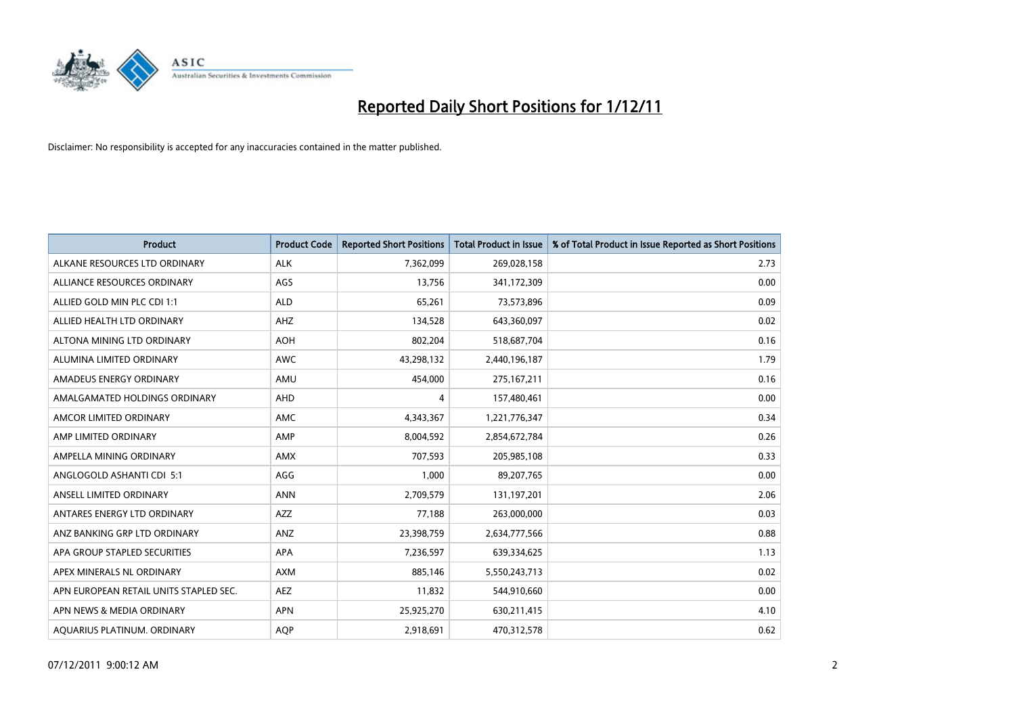

| Product                                | <b>Product Code</b> | <b>Reported Short Positions</b> | <b>Total Product in Issue</b> | % of Total Product in Issue Reported as Short Positions |
|----------------------------------------|---------------------|---------------------------------|-------------------------------|---------------------------------------------------------|
| ALKANE RESOURCES LTD ORDINARY          | <b>ALK</b>          | 7,362,099                       | 269,028,158                   | 2.73                                                    |
| ALLIANCE RESOURCES ORDINARY            | AGS                 | 13,756                          | 341,172,309                   | 0.00                                                    |
| ALLIED GOLD MIN PLC CDI 1:1            | <b>ALD</b>          | 65,261                          | 73,573,896                    | 0.09                                                    |
| ALLIED HEALTH LTD ORDINARY             | AHZ                 | 134,528                         | 643,360,097                   | 0.02                                                    |
| ALTONA MINING LTD ORDINARY             | <b>AOH</b>          | 802,204                         | 518,687,704                   | 0.16                                                    |
| ALUMINA LIMITED ORDINARY               | <b>AWC</b>          | 43,298,132                      | 2,440,196,187                 | 1.79                                                    |
| AMADEUS ENERGY ORDINARY                | AMU                 | 454,000                         | 275, 167, 211                 | 0.16                                                    |
| AMALGAMATED HOLDINGS ORDINARY          | AHD                 | 4                               | 157,480,461                   | 0.00                                                    |
| AMCOR LIMITED ORDINARY                 | AMC                 | 4,343,367                       | 1,221,776,347                 | 0.34                                                    |
| AMP LIMITED ORDINARY                   | AMP                 | 8,004,592                       | 2,854,672,784                 | 0.26                                                    |
| AMPELLA MINING ORDINARY                | <b>AMX</b>          | 707,593                         | 205,985,108                   | 0.33                                                    |
| ANGLOGOLD ASHANTI CDI 5:1              | AGG                 | 1,000                           | 89,207,765                    | 0.00                                                    |
| ANSELL LIMITED ORDINARY                | <b>ANN</b>          | 2,709,579                       | 131,197,201                   | 2.06                                                    |
| ANTARES ENERGY LTD ORDINARY            | <b>AZZ</b>          | 77,188                          | 263,000,000                   | 0.03                                                    |
| ANZ BANKING GRP LTD ORDINARY           | ANZ                 | 23,398,759                      | 2,634,777,566                 | 0.88                                                    |
| APA GROUP STAPLED SECURITIES           | <b>APA</b>          | 7,236,597                       | 639,334,625                   | 1.13                                                    |
| APEX MINERALS NL ORDINARY              | <b>AXM</b>          | 885,146                         | 5,550,243,713                 | 0.02                                                    |
| APN EUROPEAN RETAIL UNITS STAPLED SEC. | <b>AEZ</b>          | 11,832                          | 544,910,660                   | 0.00                                                    |
| APN NEWS & MEDIA ORDINARY              | <b>APN</b>          | 25,925,270                      | 630,211,415                   | 4.10                                                    |
| AQUARIUS PLATINUM. ORDINARY            | <b>AOP</b>          | 2,918,691                       | 470,312,578                   | 0.62                                                    |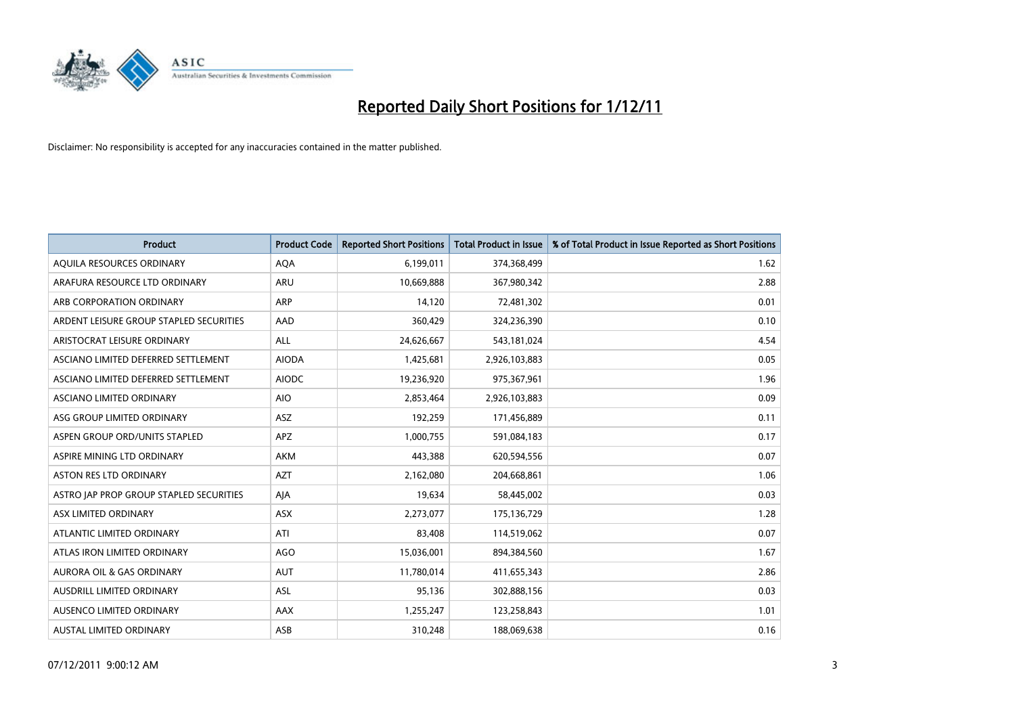

| <b>Product</b>                          | <b>Product Code</b> | <b>Reported Short Positions</b> | <b>Total Product in Issue</b> | % of Total Product in Issue Reported as Short Positions |
|-----------------------------------------|---------------------|---------------------------------|-------------------------------|---------------------------------------------------------|
| AQUILA RESOURCES ORDINARY               | <b>AQA</b>          | 6,199,011                       | 374,368,499                   | 1.62                                                    |
| ARAFURA RESOURCE LTD ORDINARY           | <b>ARU</b>          | 10,669,888                      | 367,980,342                   | 2.88                                                    |
| ARB CORPORATION ORDINARY                | <b>ARP</b>          | 14,120                          | 72,481,302                    | 0.01                                                    |
| ARDENT LEISURE GROUP STAPLED SECURITIES | AAD                 | 360,429                         | 324,236,390                   | 0.10                                                    |
| ARISTOCRAT LEISURE ORDINARY             | <b>ALL</b>          | 24,626,667                      | 543,181,024                   | 4.54                                                    |
| ASCIANO LIMITED DEFERRED SETTLEMENT     | <b>AIODA</b>        | 1,425,681                       | 2,926,103,883                 | 0.05                                                    |
| ASCIANO LIMITED DEFERRED SETTLEMENT     | <b>AIODC</b>        | 19,236,920                      | 975,367,961                   | 1.96                                                    |
| ASCIANO LIMITED ORDINARY                | <b>AIO</b>          | 2,853,464                       | 2,926,103,883                 | 0.09                                                    |
| ASG GROUP LIMITED ORDINARY              | <b>ASZ</b>          | 192,259                         | 171,456,889                   | 0.11                                                    |
| ASPEN GROUP ORD/UNITS STAPLED           | <b>APZ</b>          | 1,000,755                       | 591,084,183                   | 0.17                                                    |
| ASPIRE MINING LTD ORDINARY              | AKM                 | 443,388                         | 620,594,556                   | 0.07                                                    |
| ASTON RES LTD ORDINARY                  | <b>AZT</b>          | 2,162,080                       | 204,668,861                   | 1.06                                                    |
| ASTRO JAP PROP GROUP STAPLED SECURITIES | AJA                 | 19,634                          | 58,445,002                    | 0.03                                                    |
| ASX LIMITED ORDINARY                    | <b>ASX</b>          | 2,273,077                       | 175,136,729                   | 1.28                                                    |
| ATLANTIC LIMITED ORDINARY               | ATI                 | 83,408                          | 114,519,062                   | 0.07                                                    |
| ATLAS IRON LIMITED ORDINARY             | <b>AGO</b>          | 15,036,001                      | 894,384,560                   | 1.67                                                    |
| <b>AURORA OIL &amp; GAS ORDINARY</b>    | <b>AUT</b>          | 11,780,014                      | 411,655,343                   | 2.86                                                    |
| AUSDRILL LIMITED ORDINARY               | ASL                 | 95,136                          | 302,888,156                   | 0.03                                                    |
| <b>AUSENCO LIMITED ORDINARY</b>         | AAX                 | 1,255,247                       | 123,258,843                   | 1.01                                                    |
| <b>AUSTAL LIMITED ORDINARY</b>          | ASB                 | 310,248                         | 188,069,638                   | 0.16                                                    |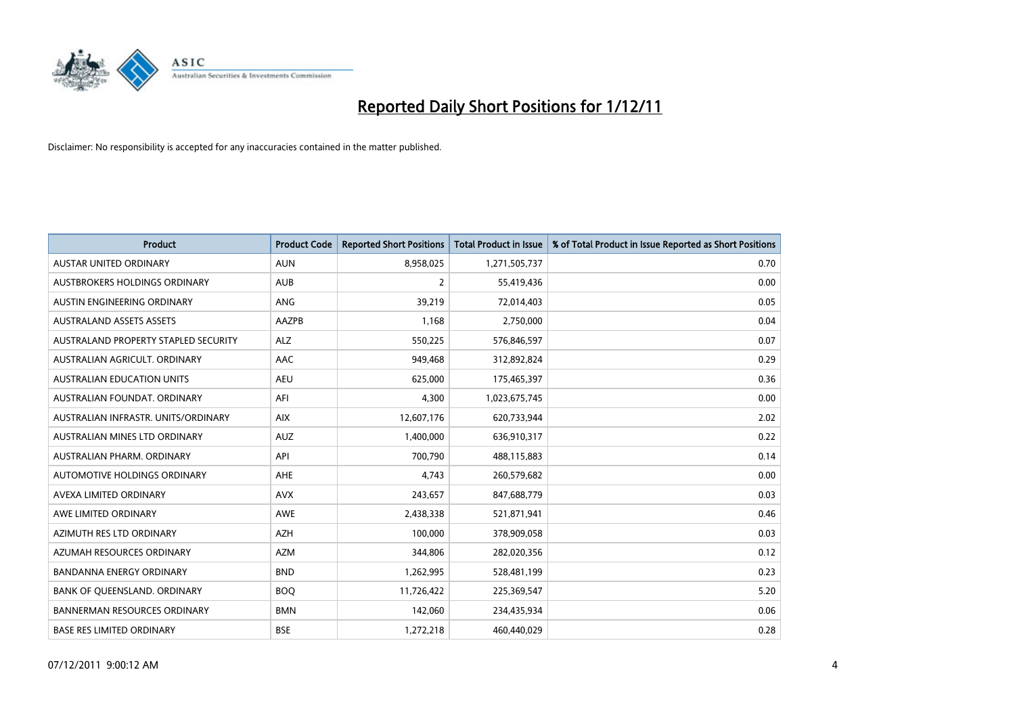

| Product                              | <b>Product Code</b> | <b>Reported Short Positions</b> | <b>Total Product in Issue</b> | % of Total Product in Issue Reported as Short Positions |
|--------------------------------------|---------------------|---------------------------------|-------------------------------|---------------------------------------------------------|
| <b>AUSTAR UNITED ORDINARY</b>        | <b>AUN</b>          | 8,958,025                       | 1,271,505,737                 | 0.70                                                    |
| AUSTBROKERS HOLDINGS ORDINARY        | <b>AUB</b>          | 2                               | 55,419,436                    | 0.00                                                    |
| AUSTIN ENGINEERING ORDINARY          | ANG                 | 39,219                          | 72,014,403                    | 0.05                                                    |
| <b>AUSTRALAND ASSETS ASSETS</b>      | AAZPB               | 1,168                           | 2,750,000                     | 0.04                                                    |
| AUSTRALAND PROPERTY STAPLED SECURITY | <b>ALZ</b>          | 550,225                         | 576,846,597                   | 0.07                                                    |
| AUSTRALIAN AGRICULT, ORDINARY        | AAC                 | 949,468                         | 312,892,824                   | 0.29                                                    |
| AUSTRALIAN EDUCATION UNITS           | <b>AEU</b>          | 625,000                         | 175,465,397                   | 0.36                                                    |
| AUSTRALIAN FOUNDAT. ORDINARY         | AFI                 | 4,300                           | 1,023,675,745                 | 0.00                                                    |
| AUSTRALIAN INFRASTR, UNITS/ORDINARY  | <b>AIX</b>          | 12,607,176                      | 620,733,944                   | 2.02                                                    |
| AUSTRALIAN MINES LTD ORDINARY        | <b>AUZ</b>          | 1,400,000                       | 636,910,317                   | 0.22                                                    |
| AUSTRALIAN PHARM. ORDINARY           | API                 | 700,790                         | 488,115,883                   | 0.14                                                    |
| AUTOMOTIVE HOLDINGS ORDINARY         | <b>AHE</b>          | 4,743                           | 260,579,682                   | 0.00                                                    |
| AVEXA LIMITED ORDINARY               | <b>AVX</b>          | 243,657                         | 847,688,779                   | 0.03                                                    |
| AWE LIMITED ORDINARY                 | <b>AWE</b>          | 2,438,338                       | 521,871,941                   | 0.46                                                    |
| AZIMUTH RES LTD ORDINARY             | <b>AZH</b>          | 100,000                         | 378,909,058                   | 0.03                                                    |
| AZUMAH RESOURCES ORDINARY            | <b>AZM</b>          | 344,806                         | 282,020,356                   | 0.12                                                    |
| BANDANNA ENERGY ORDINARY             | <b>BND</b>          | 1,262,995                       | 528,481,199                   | 0.23                                                    |
| BANK OF QUEENSLAND. ORDINARY         | <b>BOO</b>          | 11,726,422                      | 225,369,547                   | 5.20                                                    |
| <b>BANNERMAN RESOURCES ORDINARY</b>  | <b>BMN</b>          | 142,060                         | 234,435,934                   | 0.06                                                    |
| <b>BASE RES LIMITED ORDINARY</b>     | <b>BSE</b>          | 1,272,218                       | 460,440,029                   | 0.28                                                    |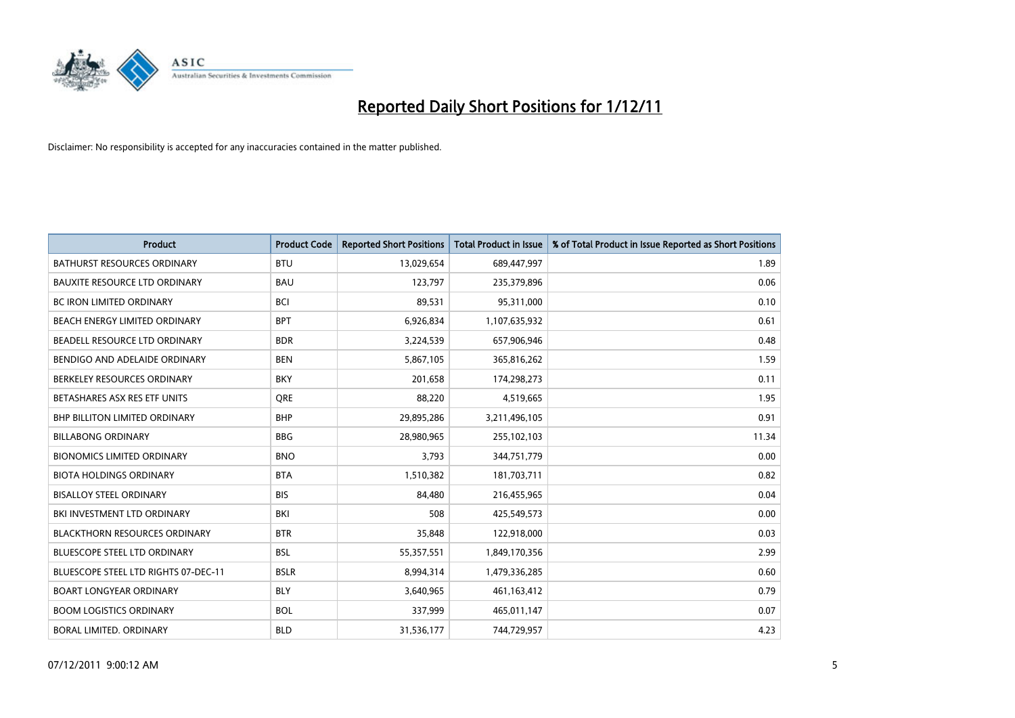

| Product                              | <b>Product Code</b> | <b>Reported Short Positions</b> | <b>Total Product in Issue</b> | % of Total Product in Issue Reported as Short Positions |
|--------------------------------------|---------------------|---------------------------------|-------------------------------|---------------------------------------------------------|
| <b>BATHURST RESOURCES ORDINARY</b>   | <b>BTU</b>          | 13,029,654                      | 689,447,997                   | 1.89                                                    |
| <b>BAUXITE RESOURCE LTD ORDINARY</b> | <b>BAU</b>          | 123,797                         | 235,379,896                   | 0.06                                                    |
| <b>BC IRON LIMITED ORDINARY</b>      | <b>BCI</b>          | 89,531                          | 95,311,000                    | 0.10                                                    |
| BEACH ENERGY LIMITED ORDINARY        | <b>BPT</b>          | 6,926,834                       | 1,107,635,932                 | 0.61                                                    |
| BEADELL RESOURCE LTD ORDINARY        | <b>BDR</b>          | 3,224,539                       | 657,906,946                   | 0.48                                                    |
| BENDIGO AND ADELAIDE ORDINARY        | <b>BEN</b>          | 5,867,105                       | 365,816,262                   | 1.59                                                    |
| BERKELEY RESOURCES ORDINARY          | <b>BKY</b>          | 201,658                         | 174,298,273                   | 0.11                                                    |
| BETASHARES ASX RES ETF UNITS         | <b>ORE</b>          | 88,220                          | 4,519,665                     | 1.95                                                    |
| <b>BHP BILLITON LIMITED ORDINARY</b> | <b>BHP</b>          | 29,895,286                      | 3,211,496,105                 | 0.91                                                    |
| <b>BILLABONG ORDINARY</b>            | <b>BBG</b>          | 28,980,965                      | 255,102,103                   | 11.34                                                   |
| <b>BIONOMICS LIMITED ORDINARY</b>    | <b>BNO</b>          | 3,793                           | 344,751,779                   | 0.00                                                    |
| <b>BIOTA HOLDINGS ORDINARY</b>       | <b>BTA</b>          | 1,510,382                       | 181,703,711                   | 0.82                                                    |
| <b>BISALLOY STEEL ORDINARY</b>       | <b>BIS</b>          | 84,480                          | 216,455,965                   | 0.04                                                    |
| BKI INVESTMENT LTD ORDINARY          | <b>BKI</b>          | 508                             | 425,549,573                   | 0.00                                                    |
| <b>BLACKTHORN RESOURCES ORDINARY</b> | <b>BTR</b>          | 35,848                          | 122,918,000                   | 0.03                                                    |
| BLUESCOPE STEEL LTD ORDINARY         | <b>BSL</b>          | 55,357,551                      | 1,849,170,356                 | 2.99                                                    |
| BLUESCOPE STEEL LTD RIGHTS 07-DEC-11 | <b>BSLR</b>         | 8,994,314                       | 1,479,336,285                 | 0.60                                                    |
| BOART LONGYEAR ORDINARY              | <b>BLY</b>          | 3,640,965                       | 461,163,412                   | 0.79                                                    |
| <b>BOOM LOGISTICS ORDINARY</b>       | <b>BOL</b>          | 337,999                         | 465,011,147                   | 0.07                                                    |
| <b>BORAL LIMITED, ORDINARY</b>       | <b>BLD</b>          | 31,536,177                      | 744,729,957                   | 4.23                                                    |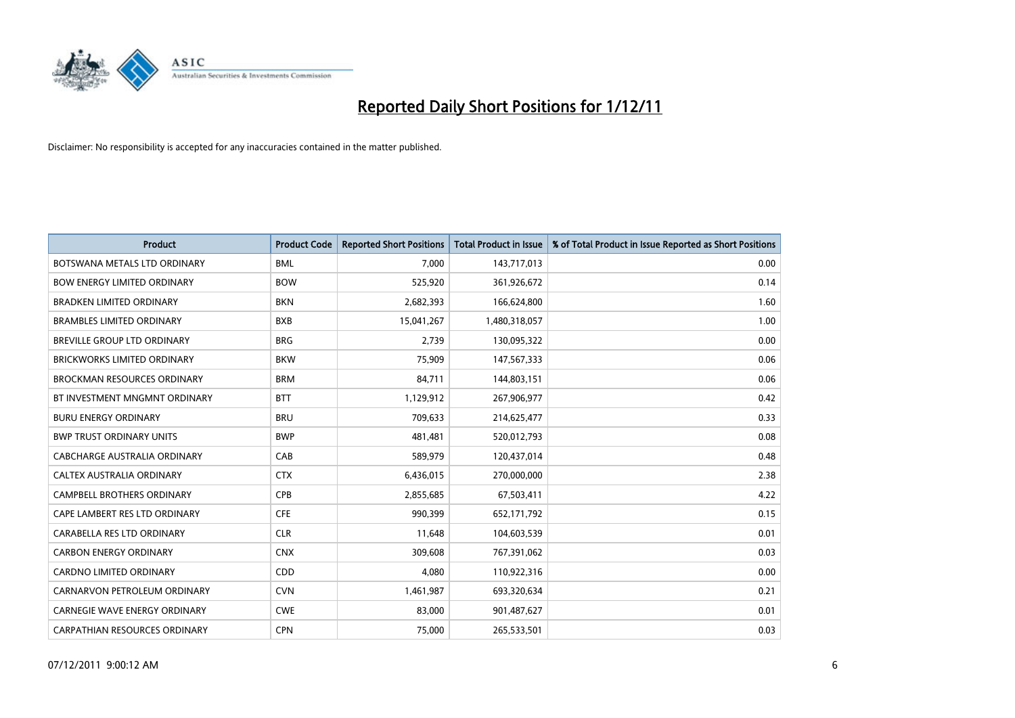

| Product                              | <b>Product Code</b> | <b>Reported Short Positions</b> | <b>Total Product in Issue</b> | % of Total Product in Issue Reported as Short Positions |
|--------------------------------------|---------------------|---------------------------------|-------------------------------|---------------------------------------------------------|
| BOTSWANA METALS LTD ORDINARY         | <b>BML</b>          | 7,000                           | 143,717,013                   | 0.00                                                    |
| <b>BOW ENERGY LIMITED ORDINARY</b>   | <b>BOW</b>          | 525,920                         | 361,926,672                   | 0.14                                                    |
| <b>BRADKEN LIMITED ORDINARY</b>      | <b>BKN</b>          | 2,682,393                       | 166,624,800                   | 1.60                                                    |
| <b>BRAMBLES LIMITED ORDINARY</b>     | <b>BXB</b>          | 15,041,267                      | 1,480,318,057                 | 1.00                                                    |
| BREVILLE GROUP LTD ORDINARY          | <b>BRG</b>          | 2,739                           | 130,095,322                   | 0.00                                                    |
| <b>BRICKWORKS LIMITED ORDINARY</b>   | <b>BKW</b>          | 75,909                          | 147,567,333                   | 0.06                                                    |
| <b>BROCKMAN RESOURCES ORDINARY</b>   | <b>BRM</b>          | 84,711                          | 144,803,151                   | 0.06                                                    |
| BT INVESTMENT MNGMNT ORDINARY        | <b>BTT</b>          | 1,129,912                       | 267,906,977                   | 0.42                                                    |
| <b>BURU ENERGY ORDINARY</b>          | <b>BRU</b>          | 709,633                         | 214,625,477                   | 0.33                                                    |
| <b>BWP TRUST ORDINARY UNITS</b>      | <b>BWP</b>          | 481,481                         | 520,012,793                   | 0.08                                                    |
| CABCHARGE AUSTRALIA ORDINARY         | CAB                 | 589,979                         | 120,437,014                   | 0.48                                                    |
| CALTEX AUSTRALIA ORDINARY            | <b>CTX</b>          | 6,436,015                       | 270,000,000                   | 2.38                                                    |
| CAMPBELL BROTHERS ORDINARY           | <b>CPB</b>          | 2,855,685                       | 67,503,411                    | 4.22                                                    |
| CAPE LAMBERT RES LTD ORDINARY        | <b>CFE</b>          | 990,399                         | 652,171,792                   | 0.15                                                    |
| CARABELLA RES LTD ORDINARY           | <b>CLR</b>          | 11,648                          | 104,603,539                   | 0.01                                                    |
| <b>CARBON ENERGY ORDINARY</b>        | <b>CNX</b>          | 309,608                         | 767,391,062                   | 0.03                                                    |
| <b>CARDNO LIMITED ORDINARY</b>       | CDD                 | 4,080                           | 110,922,316                   | 0.00                                                    |
| CARNARVON PETROLEUM ORDINARY         | <b>CVN</b>          | 1,461,987                       | 693,320,634                   | 0.21                                                    |
| <b>CARNEGIE WAVE ENERGY ORDINARY</b> | <b>CWE</b>          | 83,000                          | 901,487,627                   | 0.01                                                    |
| CARPATHIAN RESOURCES ORDINARY        | <b>CPN</b>          | 75,000                          | 265,533,501                   | 0.03                                                    |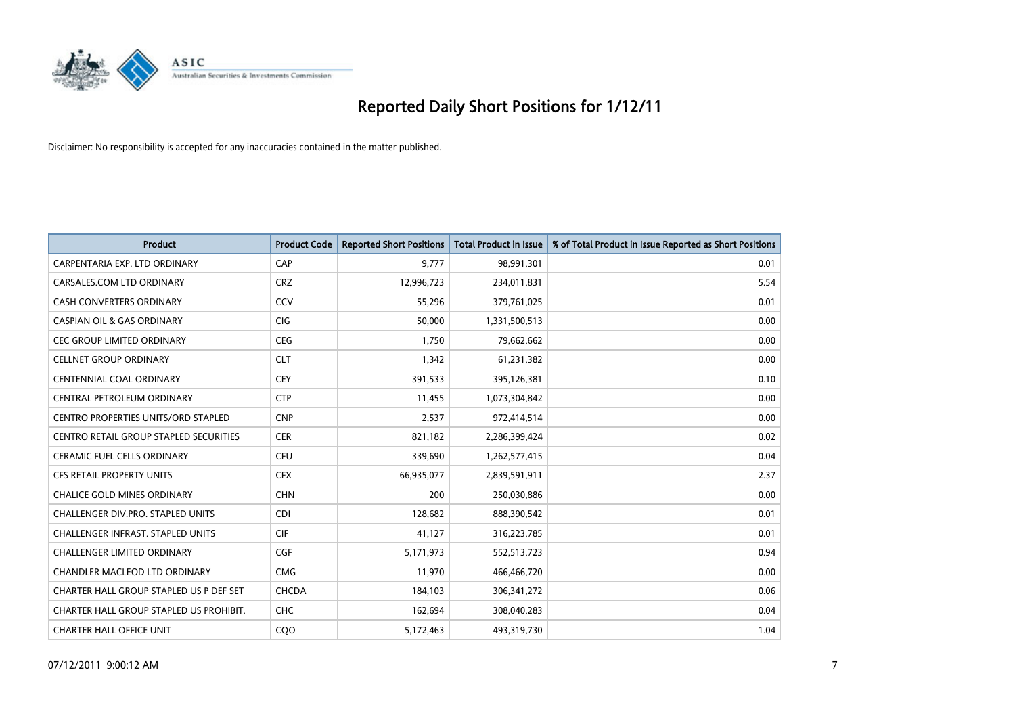

| Product                                    | <b>Product Code</b> | <b>Reported Short Positions</b> | <b>Total Product in Issue</b> | % of Total Product in Issue Reported as Short Positions |
|--------------------------------------------|---------------------|---------------------------------|-------------------------------|---------------------------------------------------------|
| CARPENTARIA EXP. LTD ORDINARY              | CAP                 | 9,777                           | 98,991,301                    | 0.01                                                    |
| CARSALES.COM LTD ORDINARY                  | <b>CRZ</b>          | 12,996,723                      | 234,011,831                   | 5.54                                                    |
| <b>CASH CONVERTERS ORDINARY</b>            | CCV                 | 55,296                          | 379,761,025                   | 0.01                                                    |
| CASPIAN OIL & GAS ORDINARY                 | <b>CIG</b>          | 50,000                          | 1,331,500,513                 | 0.00                                                    |
| <b>CEC GROUP LIMITED ORDINARY</b>          | CEG                 | 1,750                           | 79,662,662                    | 0.00                                                    |
| <b>CELLNET GROUP ORDINARY</b>              | <b>CLT</b>          | 1,342                           | 61,231,382                    | 0.00                                                    |
| CENTENNIAL COAL ORDINARY                   | <b>CEY</b>          | 391,533                         | 395,126,381                   | 0.10                                                    |
| CENTRAL PETROLEUM ORDINARY                 | <b>CTP</b>          | 11,455                          | 1,073,304,842                 | 0.00                                                    |
| <b>CENTRO PROPERTIES UNITS/ORD STAPLED</b> | <b>CNP</b>          | 2,537                           | 972,414,514                   | 0.00                                                    |
| CENTRO RETAIL GROUP STAPLED SECURITIES     | <b>CER</b>          | 821,182                         | 2,286,399,424                 | 0.02                                                    |
| CERAMIC FUEL CELLS ORDINARY                | <b>CFU</b>          | 339,690                         | 1,262,577,415                 | 0.04                                                    |
| <b>CFS RETAIL PROPERTY UNITS</b>           | <b>CFX</b>          | 66,935,077                      | 2,839,591,911                 | 2.37                                                    |
| <b>CHALICE GOLD MINES ORDINARY</b>         | <b>CHN</b>          | 200                             | 250,030,886                   | 0.00                                                    |
| CHALLENGER DIV.PRO. STAPLED UNITS          | <b>CDI</b>          | 128,682                         | 888,390,542                   | 0.01                                                    |
| <b>CHALLENGER INFRAST, STAPLED UNITS</b>   | <b>CIF</b>          | 41,127                          | 316,223,785                   | 0.01                                                    |
| CHALLENGER LIMITED ORDINARY                | <b>CGF</b>          | 5,171,973                       | 552,513,723                   | 0.94                                                    |
| CHANDLER MACLEOD LTD ORDINARY              | <b>CMG</b>          | 11,970                          | 466,466,720                   | 0.00                                                    |
| CHARTER HALL GROUP STAPLED US P DEF SET    | <b>CHCDA</b>        | 184,103                         | 306, 341, 272                 | 0.06                                                    |
| CHARTER HALL GROUP STAPLED US PROHIBIT.    | <b>CHC</b>          | 162,694                         | 308,040,283                   | 0.04                                                    |
| <b>CHARTER HALL OFFICE UNIT</b>            | COO                 | 5,172,463                       | 493,319,730                   | 1.04                                                    |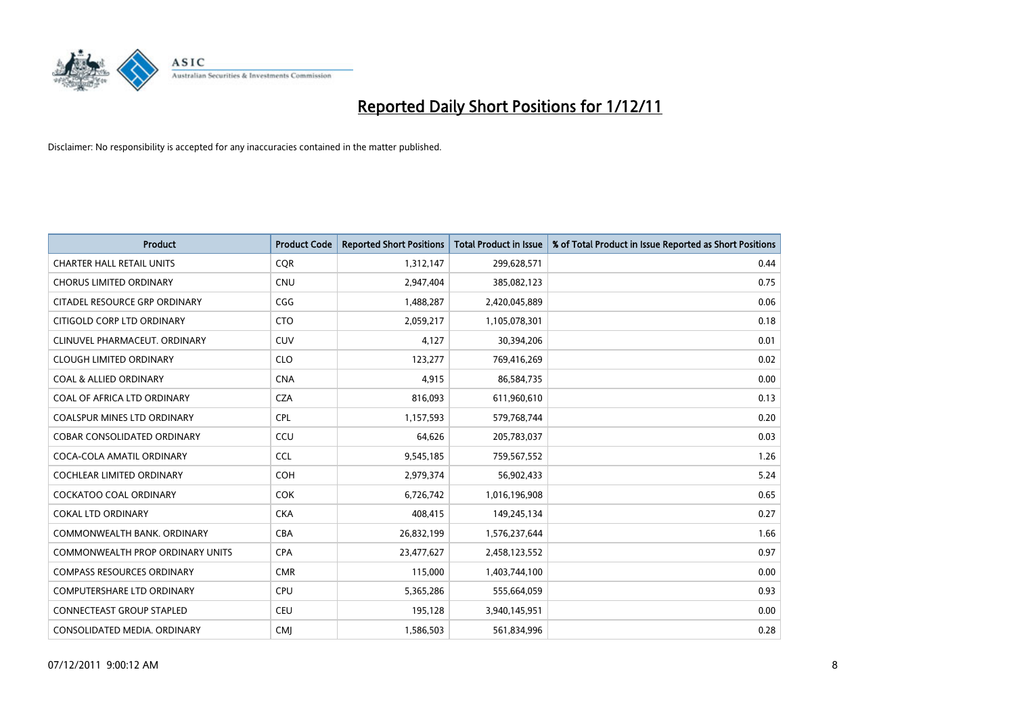

| Product                                 | <b>Product Code</b> | <b>Reported Short Positions</b> | <b>Total Product in Issue</b> | % of Total Product in Issue Reported as Short Positions |
|-----------------------------------------|---------------------|---------------------------------|-------------------------------|---------------------------------------------------------|
| <b>CHARTER HALL RETAIL UNITS</b>        | <b>CQR</b>          | 1,312,147                       | 299,628,571                   | 0.44                                                    |
| <b>CHORUS LIMITED ORDINARY</b>          | <b>CNU</b>          | 2,947,404                       | 385,082,123                   | 0.75                                                    |
| CITADEL RESOURCE GRP ORDINARY           | CGG                 | 1,488,287                       | 2,420,045,889                 | 0.06                                                    |
| CITIGOLD CORP LTD ORDINARY              | <b>CTO</b>          | 2,059,217                       | 1,105,078,301                 | 0.18                                                    |
| CLINUVEL PHARMACEUT. ORDINARY           | <b>CUV</b>          | 4,127                           | 30,394,206                    | 0.01                                                    |
| <b>CLOUGH LIMITED ORDINARY</b>          | <b>CLO</b>          | 123,277                         | 769,416,269                   | 0.02                                                    |
| <b>COAL &amp; ALLIED ORDINARY</b>       | <b>CNA</b>          | 4,915                           | 86,584,735                    | 0.00                                                    |
| COAL OF AFRICA LTD ORDINARY             | <b>CZA</b>          | 816,093                         | 611,960,610                   | 0.13                                                    |
| COALSPUR MINES LTD ORDINARY             | <b>CPL</b>          | 1,157,593                       | 579,768,744                   | 0.20                                                    |
| <b>COBAR CONSOLIDATED ORDINARY</b>      | CCU                 | 64,626                          | 205,783,037                   | 0.03                                                    |
| COCA-COLA AMATIL ORDINARY               | <b>CCL</b>          | 9,545,185                       | 759,567,552                   | 1.26                                                    |
| <b>COCHLEAR LIMITED ORDINARY</b>        | <b>COH</b>          | 2,979,374                       | 56,902,433                    | 5.24                                                    |
| <b>COCKATOO COAL ORDINARY</b>           | <b>COK</b>          | 6,726,742                       | 1,016,196,908                 | 0.65                                                    |
| <b>COKAL LTD ORDINARY</b>               | <b>CKA</b>          | 408,415                         | 149,245,134                   | 0.27                                                    |
| COMMONWEALTH BANK, ORDINARY             | <b>CBA</b>          | 26,832,199                      | 1,576,237,644                 | 1.66                                                    |
| <b>COMMONWEALTH PROP ORDINARY UNITS</b> | <b>CPA</b>          | 23,477,627                      | 2,458,123,552                 | 0.97                                                    |
| <b>COMPASS RESOURCES ORDINARY</b>       | <b>CMR</b>          | 115,000                         | 1,403,744,100                 | 0.00                                                    |
| COMPUTERSHARE LTD ORDINARY              | <b>CPU</b>          | 5,365,286                       | 555,664,059                   | 0.93                                                    |
| <b>CONNECTEAST GROUP STAPLED</b>        | <b>CEU</b>          | 195,128                         | 3,940,145,951                 | 0.00                                                    |
| CONSOLIDATED MEDIA, ORDINARY            | <b>CMI</b>          | 1,586,503                       | 561,834,996                   | 0.28                                                    |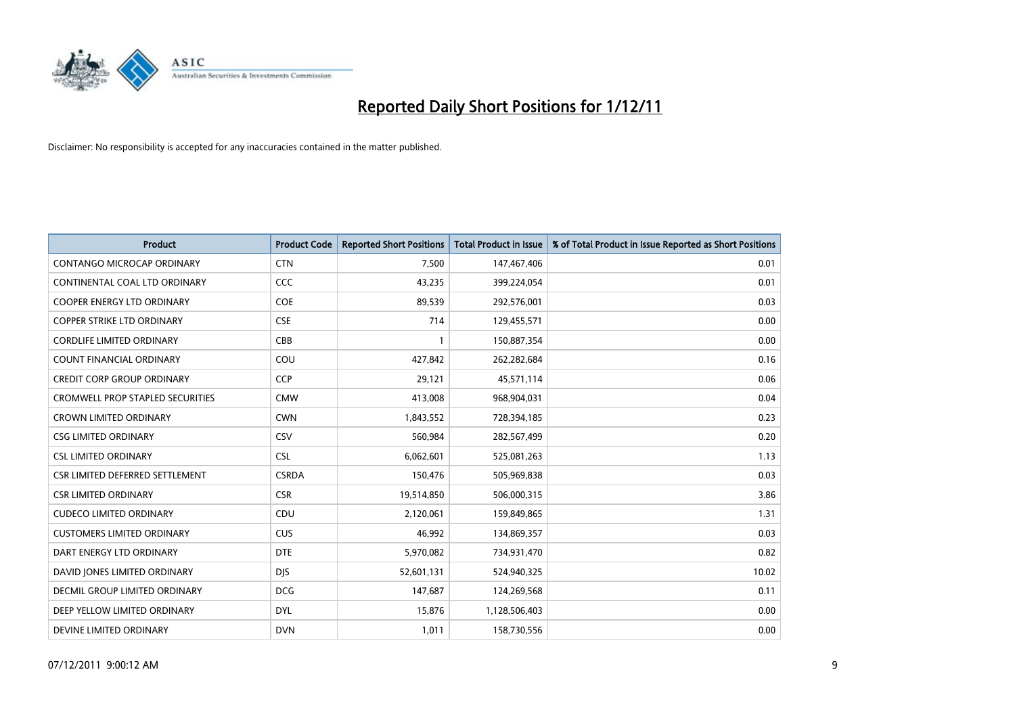

| Product                                 | <b>Product Code</b> | <b>Reported Short Positions</b> | <b>Total Product in Issue</b> | % of Total Product in Issue Reported as Short Positions |
|-----------------------------------------|---------------------|---------------------------------|-------------------------------|---------------------------------------------------------|
| <b>CONTANGO MICROCAP ORDINARY</b>       | <b>CTN</b>          | 7,500                           | 147,467,406                   | 0.01                                                    |
| CONTINENTAL COAL LTD ORDINARY           | <b>CCC</b>          | 43,235                          | 399,224,054                   | 0.01                                                    |
| <b>COOPER ENERGY LTD ORDINARY</b>       | <b>COE</b>          | 89,539                          | 292,576,001                   | 0.03                                                    |
| COPPER STRIKE LTD ORDINARY              | <b>CSE</b>          | 714                             | 129,455,571                   | 0.00                                                    |
| <b>CORDLIFE LIMITED ORDINARY</b>        | CBB                 | $\mathbf{1}$                    | 150,887,354                   | 0.00                                                    |
| <b>COUNT FINANCIAL ORDINARY</b>         | COU                 | 427,842                         | 262,282,684                   | 0.16                                                    |
| <b>CREDIT CORP GROUP ORDINARY</b>       | <b>CCP</b>          | 29,121                          | 45,571,114                    | 0.06                                                    |
| <b>CROMWELL PROP STAPLED SECURITIES</b> | <b>CMW</b>          | 413,008                         | 968,904,031                   | 0.04                                                    |
| <b>CROWN LIMITED ORDINARY</b>           | <b>CWN</b>          | 1,843,552                       | 728,394,185                   | 0.23                                                    |
| <b>CSG LIMITED ORDINARY</b>             | <b>CSV</b>          | 560,984                         | 282,567,499                   | 0.20                                                    |
| <b>CSL LIMITED ORDINARY</b>             | <b>CSL</b>          | 6,062,601                       | 525,081,263                   | 1.13                                                    |
| CSR LIMITED DEFERRED SETTLEMENT         | <b>CSRDA</b>        | 150,476                         | 505,969,838                   | 0.03                                                    |
| <b>CSR LIMITED ORDINARY</b>             | <b>CSR</b>          | 19,514,850                      | 506,000,315                   | 3.86                                                    |
| <b>CUDECO LIMITED ORDINARY</b>          | CDU                 | 2,120,061                       | 159,849,865                   | 1.31                                                    |
| <b>CUSTOMERS LIMITED ORDINARY</b>       | <b>CUS</b>          | 46,992                          | 134,869,357                   | 0.03                                                    |
| DART ENERGY LTD ORDINARY                | <b>DTE</b>          | 5,970,082                       | 734,931,470                   | 0.82                                                    |
| DAVID JONES LIMITED ORDINARY            | <b>DJS</b>          | 52,601,131                      | 524,940,325                   | 10.02                                                   |
| <b>DECMIL GROUP LIMITED ORDINARY</b>    | <b>DCG</b>          | 147,687                         | 124,269,568                   | 0.11                                                    |
| DEEP YELLOW LIMITED ORDINARY            | <b>DYL</b>          | 15,876                          | 1,128,506,403                 | 0.00                                                    |
| DEVINE LIMITED ORDINARY                 | <b>DVN</b>          | 1,011                           | 158,730,556                   | 0.00                                                    |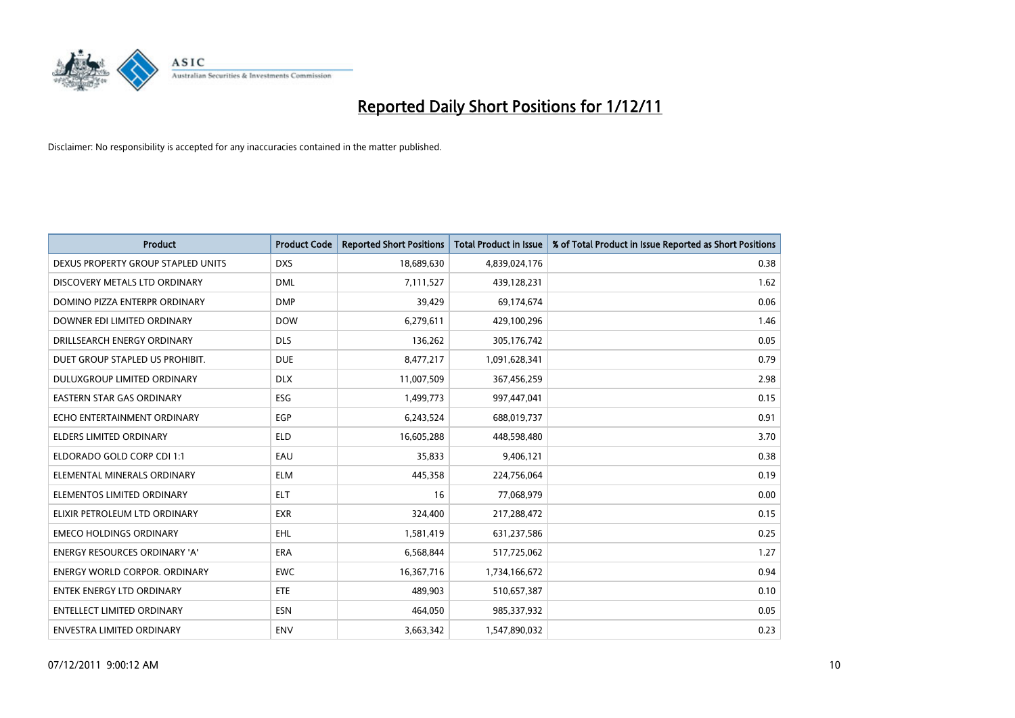

| Product                              | <b>Product Code</b> | <b>Reported Short Positions</b> | <b>Total Product in Issue</b> | % of Total Product in Issue Reported as Short Positions |
|--------------------------------------|---------------------|---------------------------------|-------------------------------|---------------------------------------------------------|
| DEXUS PROPERTY GROUP STAPLED UNITS   | <b>DXS</b>          | 18,689,630                      | 4,839,024,176                 | 0.38                                                    |
| DISCOVERY METALS LTD ORDINARY        | <b>DML</b>          | 7,111,527                       | 439,128,231                   | 1.62                                                    |
| DOMINO PIZZA ENTERPR ORDINARY        | <b>DMP</b>          | 39,429                          | 69,174,674                    | 0.06                                                    |
| DOWNER EDI LIMITED ORDINARY          | <b>DOW</b>          | 6,279,611                       | 429,100,296                   | 1.46                                                    |
| DRILLSEARCH ENERGY ORDINARY          | <b>DLS</b>          | 136,262                         | 305,176,742                   | 0.05                                                    |
| DUET GROUP STAPLED US PROHIBIT.      | <b>DUE</b>          | 8,477,217                       | 1,091,628,341                 | 0.79                                                    |
| <b>DULUXGROUP LIMITED ORDINARY</b>   | <b>DLX</b>          | 11,007,509                      | 367,456,259                   | 2.98                                                    |
| <b>EASTERN STAR GAS ORDINARY</b>     | <b>ESG</b>          | 1,499,773                       | 997,447,041                   | 0.15                                                    |
| ECHO ENTERTAINMENT ORDINARY          | <b>EGP</b>          | 6,243,524                       | 688,019,737                   | 0.91                                                    |
| <b>ELDERS LIMITED ORDINARY</b>       | <b>ELD</b>          | 16,605,288                      | 448,598,480                   | 3.70                                                    |
| ELDORADO GOLD CORP CDI 1:1           | EAU                 | 35,833                          | 9,406,121                     | 0.38                                                    |
| ELEMENTAL MINERALS ORDINARY          | <b>ELM</b>          | 445,358                         | 224,756,064                   | 0.19                                                    |
| ELEMENTOS LIMITED ORDINARY           | <b>ELT</b>          | 16                              | 77,068,979                    | 0.00                                                    |
| ELIXIR PETROLEUM LTD ORDINARY        | <b>EXR</b>          | 324,400                         | 217,288,472                   | 0.15                                                    |
| <b>EMECO HOLDINGS ORDINARY</b>       | <b>EHL</b>          | 1,581,419                       | 631,237,586                   | 0.25                                                    |
| <b>ENERGY RESOURCES ORDINARY 'A'</b> | <b>ERA</b>          | 6,568,844                       | 517,725,062                   | 1.27                                                    |
| <b>ENERGY WORLD CORPOR, ORDINARY</b> | <b>EWC</b>          | 16,367,716                      | 1,734,166,672                 | 0.94                                                    |
| <b>ENTEK ENERGY LTD ORDINARY</b>     | ETE                 | 489,903                         | 510,657,387                   | 0.10                                                    |
| <b>ENTELLECT LIMITED ORDINARY</b>    | <b>ESN</b>          | 464,050                         | 985,337,932                   | 0.05                                                    |
| ENVESTRA LIMITED ORDINARY            | <b>ENV</b>          | 3,663,342                       | 1,547,890,032                 | 0.23                                                    |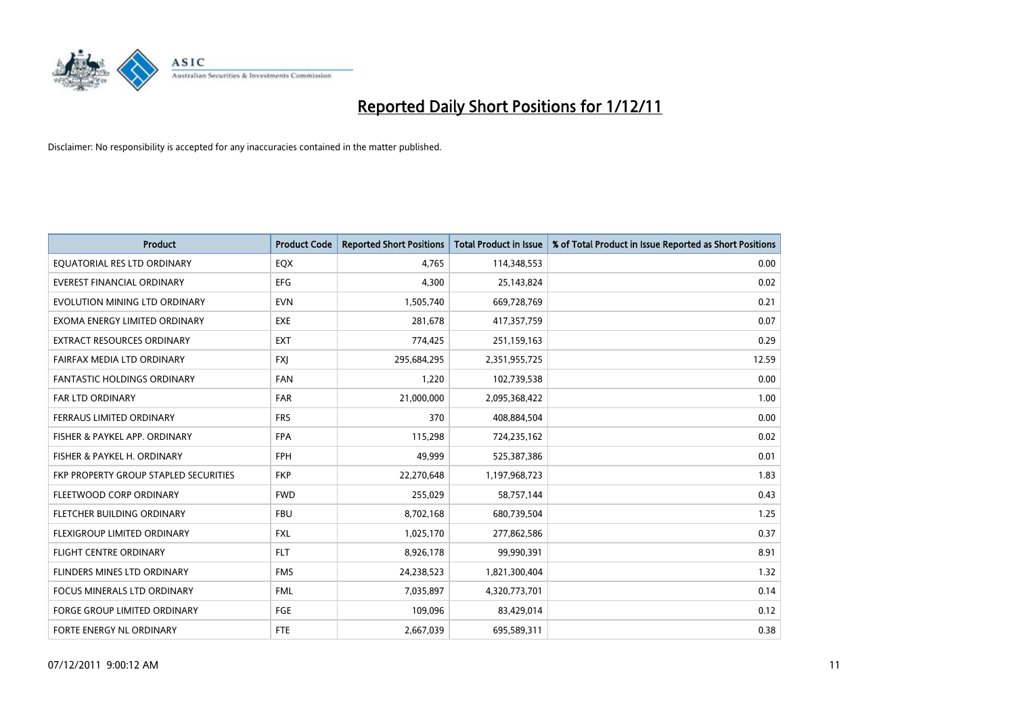

| Product                               | <b>Product Code</b> | <b>Reported Short Positions</b> | <b>Total Product in Issue</b> | % of Total Product in Issue Reported as Short Positions |
|---------------------------------------|---------------------|---------------------------------|-------------------------------|---------------------------------------------------------|
| EQUATORIAL RES LTD ORDINARY           | EQX                 | 4,765                           | 114,348,553                   | 0.00                                                    |
| EVEREST FINANCIAL ORDINARY            | <b>EFG</b>          | 4,300                           | 25,143,824                    | 0.02                                                    |
| EVOLUTION MINING LTD ORDINARY         | <b>EVN</b>          | 1,505,740                       | 669,728,769                   | 0.21                                                    |
| EXOMA ENERGY LIMITED ORDINARY         | <b>EXE</b>          | 281,678                         | 417,357,759                   | 0.07                                                    |
| <b>EXTRACT RESOURCES ORDINARY</b>     | <b>EXT</b>          | 774,425                         | 251,159,163                   | 0.29                                                    |
| FAIRFAX MEDIA LTD ORDINARY            | <b>FXJ</b>          | 295,684,295                     | 2,351,955,725                 | 12.59                                                   |
| FANTASTIC HOLDINGS ORDINARY           | <b>FAN</b>          | 1,220                           | 102,739,538                   | 0.00                                                    |
| <b>FAR LTD ORDINARY</b>               | FAR                 | 21,000,000                      | 2,095,368,422                 | 1.00                                                    |
| FERRAUS LIMITED ORDINARY              | <b>FRS</b>          | 370                             | 408,884,504                   | 0.00                                                    |
| FISHER & PAYKEL APP. ORDINARY         | <b>FPA</b>          | 115,298                         | 724,235,162                   | 0.02                                                    |
| FISHER & PAYKEL H. ORDINARY           | <b>FPH</b>          | 49,999                          | 525,387,386                   | 0.01                                                    |
| FKP PROPERTY GROUP STAPLED SECURITIES | <b>FKP</b>          | 22,270,648                      | 1,197,968,723                 | 1.83                                                    |
| FLEETWOOD CORP ORDINARY               | <b>FWD</b>          | 255,029                         | 58,757,144                    | 0.43                                                    |
| FLETCHER BUILDING ORDINARY            | <b>FBU</b>          | 8,702,168                       | 680,739,504                   | 1.25                                                    |
| FLEXIGROUP LIMITED ORDINARY           | <b>FXL</b>          | 1,025,170                       | 277,862,586                   | 0.37                                                    |
| FLIGHT CENTRE ORDINARY                | <b>FLT</b>          | 8,926,178                       | 99,990,391                    | 8.91                                                    |
| FLINDERS MINES LTD ORDINARY           | <b>FMS</b>          | 24,238,523                      | 1,821,300,404                 | 1.32                                                    |
| <b>FOCUS MINERALS LTD ORDINARY</b>    | <b>FML</b>          | 7,035,897                       | 4,320,773,701                 | 0.14                                                    |
| <b>FORGE GROUP LIMITED ORDINARY</b>   | FGE                 | 109,096                         | 83,429,014                    | 0.12                                                    |
| <b>FORTE ENERGY NL ORDINARY</b>       | FTE                 | 2,667,039                       | 695,589,311                   | 0.38                                                    |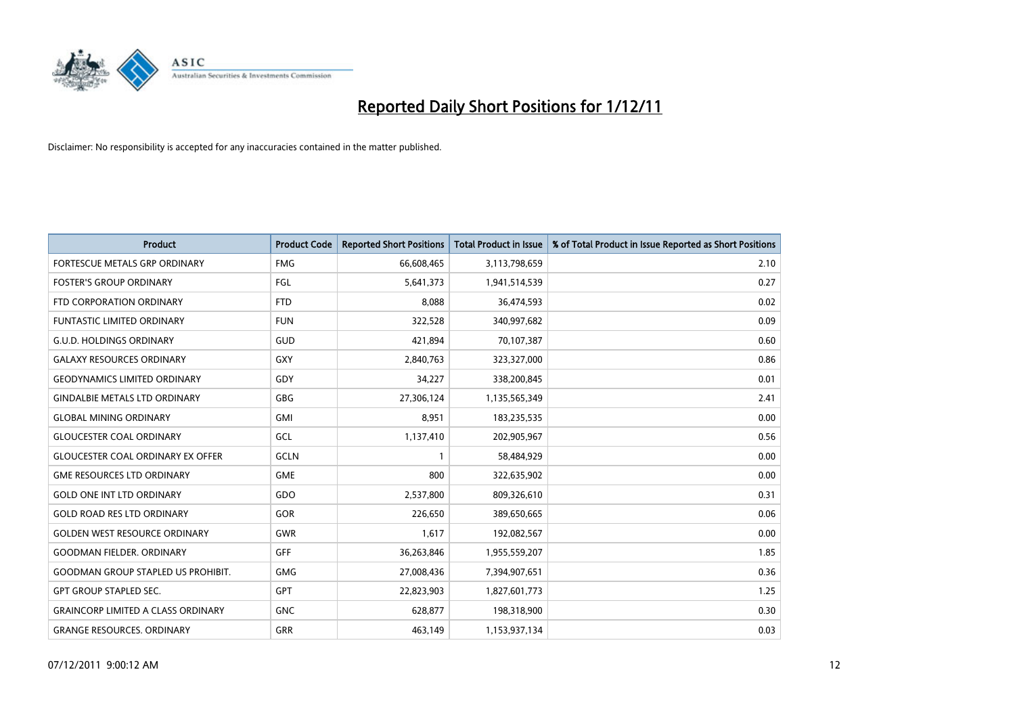

| <b>Product</b>                            | <b>Product Code</b> | <b>Reported Short Positions</b> | <b>Total Product in Issue</b> | % of Total Product in Issue Reported as Short Positions |
|-------------------------------------------|---------------------|---------------------------------|-------------------------------|---------------------------------------------------------|
| FORTESCUE METALS GRP ORDINARY             | <b>FMG</b>          | 66,608,465                      | 3,113,798,659                 | 2.10                                                    |
| <b>FOSTER'S GROUP ORDINARY</b>            | <b>FGL</b>          | 5,641,373                       | 1,941,514,539                 | 0.27                                                    |
| FTD CORPORATION ORDINARY                  | <b>FTD</b>          | 8,088                           | 36,474,593                    | 0.02                                                    |
| <b>FUNTASTIC LIMITED ORDINARY</b>         | <b>FUN</b>          | 322,528                         | 340,997,682                   | 0.09                                                    |
| <b>G.U.D. HOLDINGS ORDINARY</b>           | GUD                 | 421,894                         | 70,107,387                    | 0.60                                                    |
| <b>GALAXY RESOURCES ORDINARY</b>          | <b>GXY</b>          | 2,840,763                       | 323,327,000                   | 0.86                                                    |
| <b>GEODYNAMICS LIMITED ORDINARY</b>       | GDY                 | 34,227                          | 338,200,845                   | 0.01                                                    |
| <b>GINDALBIE METALS LTD ORDINARY</b>      | <b>GBG</b>          | 27,306,124                      | 1,135,565,349                 | 2.41                                                    |
| <b>GLOBAL MINING ORDINARY</b>             | <b>GMI</b>          | 8,951                           | 183,235,535                   | 0.00                                                    |
| <b>GLOUCESTER COAL ORDINARY</b>           | GCL                 | 1,137,410                       | 202,905,967                   | 0.56                                                    |
| <b>GLOUCESTER COAL ORDINARY EX OFFER</b>  | GCLN                | 1                               | 58,484,929                    | 0.00                                                    |
| <b>GME RESOURCES LTD ORDINARY</b>         | <b>GME</b>          | 800                             | 322,635,902                   | 0.00                                                    |
| <b>GOLD ONE INT LTD ORDINARY</b>          | GDO                 | 2,537,800                       | 809,326,610                   | 0.31                                                    |
| <b>GOLD ROAD RES LTD ORDINARY</b>         | <b>GOR</b>          | 226,650                         | 389,650,665                   | 0.06                                                    |
| <b>GOLDEN WEST RESOURCE ORDINARY</b>      | GWR                 | 1,617                           | 192,082,567                   | 0.00                                                    |
| <b>GOODMAN FIELDER, ORDINARY</b>          | <b>GFF</b>          | 36,263,846                      | 1,955,559,207                 | 1.85                                                    |
| <b>GOODMAN GROUP STAPLED US PROHIBIT.</b> | <b>GMG</b>          | 27,008,436                      | 7,394,907,651                 | 0.36                                                    |
| <b>GPT GROUP STAPLED SEC.</b>             | <b>GPT</b>          | 22,823,903                      | 1,827,601,773                 | 1.25                                                    |
| <b>GRAINCORP LIMITED A CLASS ORDINARY</b> | <b>GNC</b>          | 628,877                         | 198,318,900                   | 0.30                                                    |
| <b>GRANGE RESOURCES. ORDINARY</b>         | GRR                 | 463,149                         | 1,153,937,134                 | 0.03                                                    |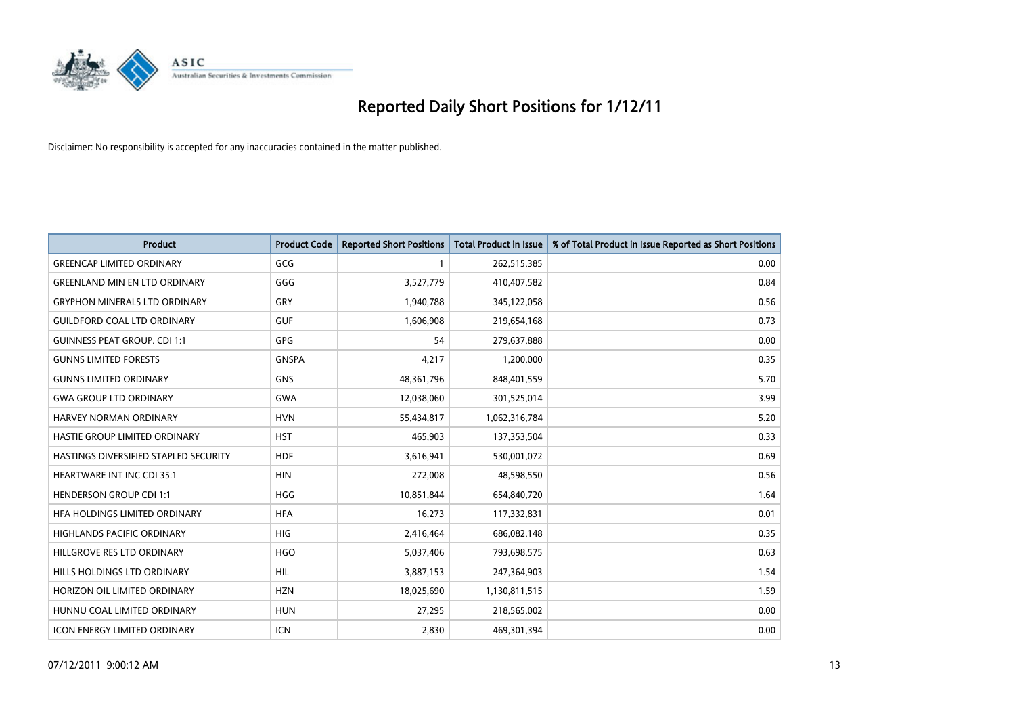

| Product                               | <b>Product Code</b> | <b>Reported Short Positions</b> | <b>Total Product in Issue</b> | % of Total Product in Issue Reported as Short Positions |
|---------------------------------------|---------------------|---------------------------------|-------------------------------|---------------------------------------------------------|
| <b>GREENCAP LIMITED ORDINARY</b>      | GCG                 | 1                               | 262,515,385                   | 0.00                                                    |
| <b>GREENLAND MIN EN LTD ORDINARY</b>  | GGG                 | 3,527,779                       | 410,407,582                   | 0.84                                                    |
| <b>GRYPHON MINERALS LTD ORDINARY</b>  | GRY                 | 1,940,788                       | 345,122,058                   | 0.56                                                    |
| <b>GUILDFORD COAL LTD ORDINARY</b>    | <b>GUF</b>          | 1,606,908                       | 219,654,168                   | 0.73                                                    |
| <b>GUINNESS PEAT GROUP. CDI 1:1</b>   | <b>GPG</b>          | 54                              | 279,637,888                   | 0.00                                                    |
| <b>GUNNS LIMITED FORESTS</b>          | <b>GNSPA</b>        | 4,217                           | 1,200,000                     | 0.35                                                    |
| <b>GUNNS LIMITED ORDINARY</b>         | <b>GNS</b>          | 48,361,796                      | 848,401,559                   | 5.70                                                    |
| <b>GWA GROUP LTD ORDINARY</b>         | <b>GWA</b>          | 12,038,060                      | 301,525,014                   | 3.99                                                    |
| <b>HARVEY NORMAN ORDINARY</b>         | <b>HVN</b>          | 55,434,817                      | 1,062,316,784                 | 5.20                                                    |
| HASTIE GROUP LIMITED ORDINARY         | <b>HST</b>          | 465,903                         | 137,353,504                   | 0.33                                                    |
| HASTINGS DIVERSIFIED STAPLED SECURITY | <b>HDF</b>          | 3,616,941                       | 530,001,072                   | 0.69                                                    |
| <b>HEARTWARE INT INC CDI 35:1</b>     | <b>HIN</b>          | 272,008                         | 48,598,550                    | 0.56                                                    |
| <b>HENDERSON GROUP CDI 1:1</b>        | <b>HGG</b>          | 10,851,844                      | 654,840,720                   | 1.64                                                    |
| HFA HOLDINGS LIMITED ORDINARY         | <b>HFA</b>          | 16,273                          | 117,332,831                   | 0.01                                                    |
| <b>HIGHLANDS PACIFIC ORDINARY</b>     | <b>HIG</b>          | 2,416,464                       | 686,082,148                   | 0.35                                                    |
| HILLGROVE RES LTD ORDINARY            | <b>HGO</b>          | 5,037,406                       | 793,698,575                   | 0.63                                                    |
| HILLS HOLDINGS LTD ORDINARY           | HIL                 | 3,887,153                       | 247,364,903                   | 1.54                                                    |
| HORIZON OIL LIMITED ORDINARY          | <b>HZN</b>          | 18,025,690                      | 1,130,811,515                 | 1.59                                                    |
| HUNNU COAL LIMITED ORDINARY           | <b>HUN</b>          | 27,295                          | 218,565,002                   | 0.00                                                    |
| <b>ICON ENERGY LIMITED ORDINARY</b>   | <b>ICN</b>          | 2,830                           | 469,301,394                   | 0.00                                                    |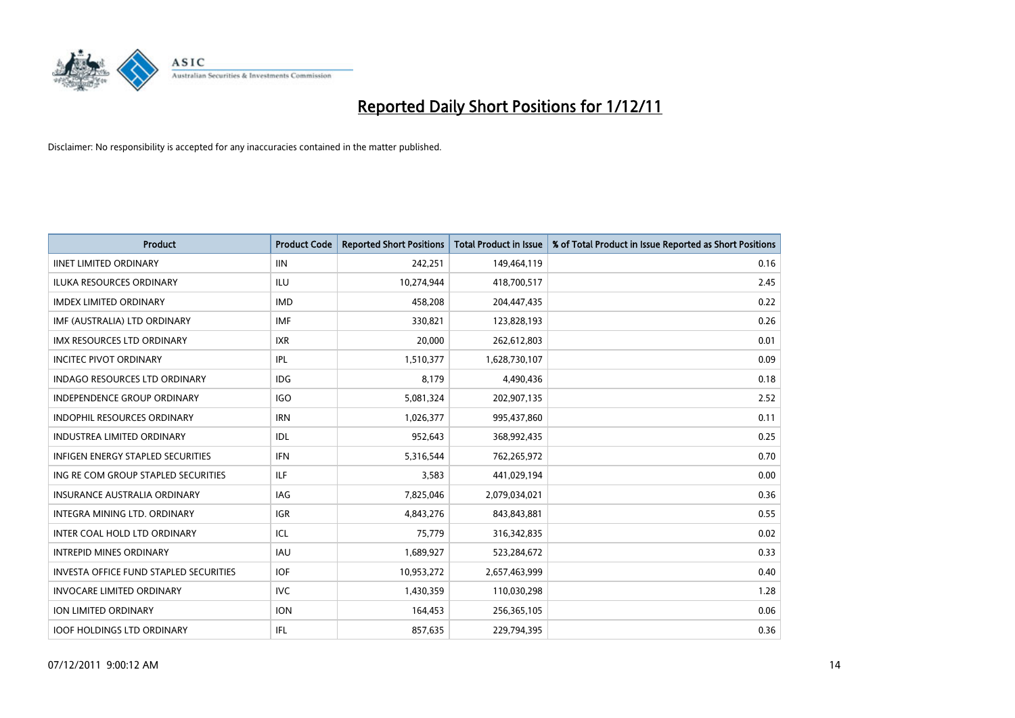

| Product                                       | <b>Product Code</b> | <b>Reported Short Positions</b> | <b>Total Product in Issue</b> | % of Total Product in Issue Reported as Short Positions |
|-----------------------------------------------|---------------------|---------------------------------|-------------------------------|---------------------------------------------------------|
| <b>IINET LIMITED ORDINARY</b>                 | <b>IIN</b>          | 242,251                         | 149,464,119                   | 0.16                                                    |
| ILUKA RESOURCES ORDINARY                      | ILU                 | 10,274,944                      | 418,700,517                   | 2.45                                                    |
| <b>IMDEX LIMITED ORDINARY</b>                 | <b>IMD</b>          | 458,208                         | 204,447,435                   | 0.22                                                    |
| IMF (AUSTRALIA) LTD ORDINARY                  | <b>IMF</b>          | 330,821                         | 123,828,193                   | 0.26                                                    |
| <b>IMX RESOURCES LTD ORDINARY</b>             | <b>IXR</b>          | 20,000                          | 262,612,803                   | 0.01                                                    |
| <b>INCITEC PIVOT ORDINARY</b>                 | IPL                 | 1,510,377                       | 1,628,730,107                 | 0.09                                                    |
| <b>INDAGO RESOURCES LTD ORDINARY</b>          | <b>IDG</b>          | 8.179                           | 4,490,436                     | 0.18                                                    |
| <b>INDEPENDENCE GROUP ORDINARY</b>            | <b>IGO</b>          | 5,081,324                       | 202,907,135                   | 2.52                                                    |
| INDOPHIL RESOURCES ORDINARY                   | <b>IRN</b>          | 1,026,377                       | 995,437,860                   | 0.11                                                    |
| <b>INDUSTREA LIMITED ORDINARY</b>             | IDL                 | 952,643                         | 368,992,435                   | 0.25                                                    |
| INFIGEN ENERGY STAPLED SECURITIES             | <b>IFN</b>          | 5,316,544                       | 762,265,972                   | 0.70                                                    |
| ING RE COM GROUP STAPLED SECURITIES           | ILF                 | 3,583                           | 441,029,194                   | 0.00                                                    |
| <b>INSURANCE AUSTRALIA ORDINARY</b>           | IAG.                | 7,825,046                       | 2,079,034,021                 | 0.36                                                    |
| INTEGRA MINING LTD, ORDINARY                  | <b>IGR</b>          | 4,843,276                       | 843,843,881                   | 0.55                                                    |
| INTER COAL HOLD LTD ORDINARY                  | ICL                 | 75,779                          | 316,342,835                   | 0.02                                                    |
| <b>INTREPID MINES ORDINARY</b>                | IAU                 | 1,689,927                       | 523,284,672                   | 0.33                                                    |
| <b>INVESTA OFFICE FUND STAPLED SECURITIES</b> | <b>IOF</b>          | 10,953,272                      | 2,657,463,999                 | 0.40                                                    |
| <b>INVOCARE LIMITED ORDINARY</b>              | IVC                 | 1,430,359                       | 110,030,298                   | 1.28                                                    |
| <b>ION LIMITED ORDINARY</b>                   | <b>ION</b>          | 164,453                         | 256,365,105                   | 0.06                                                    |
| <b>IOOF HOLDINGS LTD ORDINARY</b>             | IFL.                | 857,635                         | 229,794,395                   | 0.36                                                    |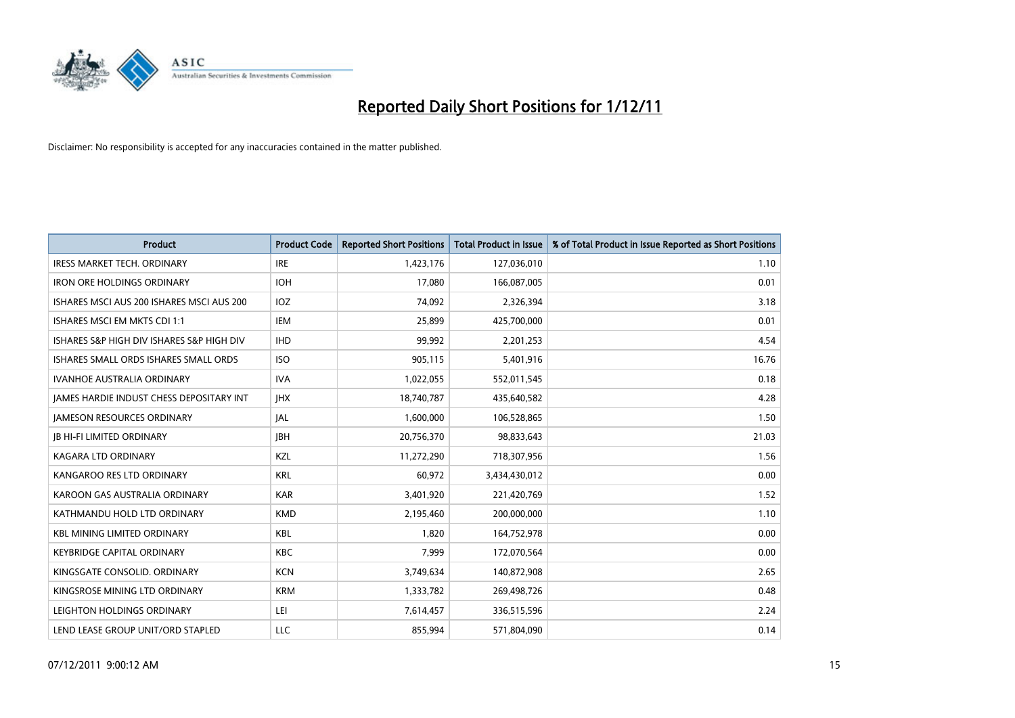

| <b>Product</b>                            | <b>Product Code</b> | <b>Reported Short Positions</b> | <b>Total Product in Issue</b> | % of Total Product in Issue Reported as Short Positions |
|-------------------------------------------|---------------------|---------------------------------|-------------------------------|---------------------------------------------------------|
| <b>IRESS MARKET TECH. ORDINARY</b>        | <b>IRE</b>          | 1,423,176                       | 127,036,010                   | 1.10                                                    |
| <b>IRON ORE HOLDINGS ORDINARY</b>         | <b>IOH</b>          | 17,080                          | 166,087,005                   | 0.01                                                    |
| ISHARES MSCI AUS 200 ISHARES MSCI AUS 200 | <b>IOZ</b>          | 74,092                          | 2,326,394                     | 3.18                                                    |
| ISHARES MSCI EM MKTS CDI 1:1              | <b>IEM</b>          | 25,899                          | 425,700,000                   | 0.01                                                    |
| ISHARES S&P HIGH DIV ISHARES S&P HIGH DIV | <b>IHD</b>          | 99,992                          | 2,201,253                     | 4.54                                                    |
| ISHARES SMALL ORDS ISHARES SMALL ORDS     | <b>ISO</b>          | 905,115                         | 5,401,916                     | 16.76                                                   |
| <b>IVANHOE AUSTRALIA ORDINARY</b>         | <b>IVA</b>          | 1,022,055                       | 552,011,545                   | 0.18                                                    |
| JAMES HARDIE INDUST CHESS DEPOSITARY INT  | <b>IHX</b>          | 18,740,787                      | 435,640,582                   | 4.28                                                    |
| <b>JAMESON RESOURCES ORDINARY</b>         | <b>JAL</b>          | 1,600,000                       | 106,528,865                   | 1.50                                                    |
| <b>IB HI-FI LIMITED ORDINARY</b>          | <b>IBH</b>          | 20,756,370                      | 98,833,643                    | 21.03                                                   |
| <b>KAGARA LTD ORDINARY</b>                | KZL                 | 11,272,290                      | 718,307,956                   | 1.56                                                    |
| KANGAROO RES LTD ORDINARY                 | <b>KRL</b>          | 60,972                          | 3,434,430,012                 | 0.00                                                    |
| KAROON GAS AUSTRALIA ORDINARY             | <b>KAR</b>          | 3,401,920                       | 221,420,769                   | 1.52                                                    |
| KATHMANDU HOLD LTD ORDINARY               | <b>KMD</b>          | 2,195,460                       | 200,000,000                   | 1.10                                                    |
| <b>KBL MINING LIMITED ORDINARY</b>        | <b>KBL</b>          | 1,820                           | 164,752,978                   | 0.00                                                    |
| <b>KEYBRIDGE CAPITAL ORDINARY</b>         | <b>KBC</b>          | 7.999                           | 172,070,564                   | 0.00                                                    |
| KINGSGATE CONSOLID, ORDINARY              | <b>KCN</b>          | 3,749,634                       | 140,872,908                   | 2.65                                                    |
| KINGSROSE MINING LTD ORDINARY             | <b>KRM</b>          | 1,333,782                       | 269,498,726                   | 0.48                                                    |
| LEIGHTON HOLDINGS ORDINARY                | LEI                 | 7,614,457                       | 336,515,596                   | 2.24                                                    |
| LEND LEASE GROUP UNIT/ORD STAPLED         | LLC                 | 855,994                         | 571,804,090                   | 0.14                                                    |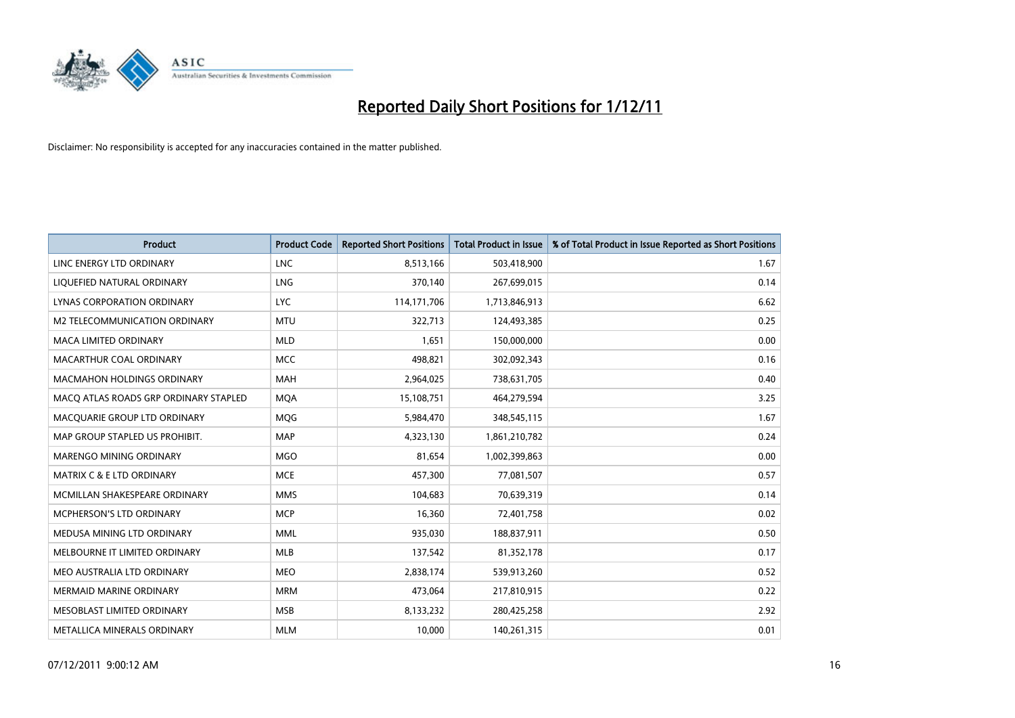

| <b>Product</b>                        | <b>Product Code</b> | <b>Reported Short Positions</b> | <b>Total Product in Issue</b> | % of Total Product in Issue Reported as Short Positions |
|---------------------------------------|---------------------|---------------------------------|-------------------------------|---------------------------------------------------------|
| LINC ENERGY LTD ORDINARY              | <b>LNC</b>          | 8,513,166                       | 503,418,900                   | 1.67                                                    |
| LIQUEFIED NATURAL ORDINARY            | <b>LNG</b>          | 370,140                         | 267,699,015                   | 0.14                                                    |
| <b>LYNAS CORPORATION ORDINARY</b>     | <b>LYC</b>          | 114,171,706                     | 1,713,846,913                 | 6.62                                                    |
| M2 TELECOMMUNICATION ORDINARY         | <b>MTU</b>          | 322,713                         | 124,493,385                   | 0.25                                                    |
| <b>MACA LIMITED ORDINARY</b>          | <b>MLD</b>          | 1,651                           | 150,000,000                   | 0.00                                                    |
| MACARTHUR COAL ORDINARY               | <b>MCC</b>          | 498,821                         | 302,092,343                   | 0.16                                                    |
| <b>MACMAHON HOLDINGS ORDINARY</b>     | <b>MAH</b>          | 2,964,025                       | 738,631,705                   | 0.40                                                    |
| MACO ATLAS ROADS GRP ORDINARY STAPLED | <b>MOA</b>          | 15,108,751                      | 464,279,594                   | 3.25                                                    |
| MACQUARIE GROUP LTD ORDINARY          | <b>MOG</b>          | 5,984,470                       | 348,545,115                   | 1.67                                                    |
| MAP GROUP STAPLED US PROHIBIT.        | <b>MAP</b>          | 4,323,130                       | 1,861,210,782                 | 0.24                                                    |
| MARENGO MINING ORDINARY               | <b>MGO</b>          | 81,654                          | 1,002,399,863                 | 0.00                                                    |
| <b>MATRIX C &amp; E LTD ORDINARY</b>  | <b>MCE</b>          | 457,300                         | 77,081,507                    | 0.57                                                    |
| MCMILLAN SHAKESPEARE ORDINARY         | <b>MMS</b>          | 104,683                         | 70,639,319                    | 0.14                                                    |
| MCPHERSON'S LTD ORDINARY              | <b>MCP</b>          | 16,360                          | 72,401,758                    | 0.02                                                    |
| MEDUSA MINING LTD ORDINARY            | <b>MML</b>          | 935,030                         | 188,837,911                   | 0.50                                                    |
| MELBOURNE IT LIMITED ORDINARY         | <b>MLB</b>          | 137,542                         | 81,352,178                    | 0.17                                                    |
| MEO AUSTRALIA LTD ORDINARY            | <b>MEO</b>          | 2,838,174                       | 539,913,260                   | 0.52                                                    |
| <b>MERMAID MARINE ORDINARY</b>        | <b>MRM</b>          | 473,064                         | 217,810,915                   | 0.22                                                    |
| MESOBLAST LIMITED ORDINARY            | <b>MSB</b>          | 8,133,232                       | 280,425,258                   | 2.92                                                    |
| METALLICA MINERALS ORDINARY           | <b>MLM</b>          | 10,000                          | 140,261,315                   | 0.01                                                    |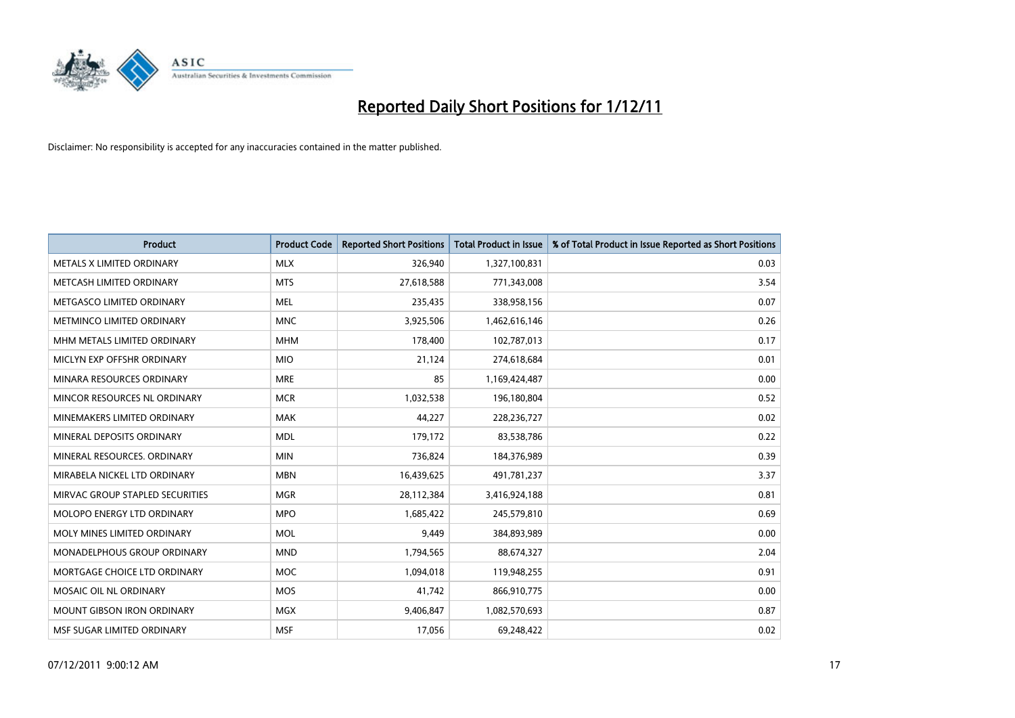

| Product                           | <b>Product Code</b> | <b>Reported Short Positions</b> | <b>Total Product in Issue</b> | % of Total Product in Issue Reported as Short Positions |
|-----------------------------------|---------------------|---------------------------------|-------------------------------|---------------------------------------------------------|
| METALS X LIMITED ORDINARY         | <b>MLX</b>          | 326,940                         | 1,327,100,831                 | 0.03                                                    |
| METCASH LIMITED ORDINARY          | <b>MTS</b>          | 27,618,588                      | 771,343,008                   | 3.54                                                    |
| METGASCO LIMITED ORDINARY         | <b>MEL</b>          | 235,435                         | 338,958,156                   | 0.07                                                    |
| METMINCO LIMITED ORDINARY         | <b>MNC</b>          | 3,925,506                       | 1,462,616,146                 | 0.26                                                    |
| MHM METALS LIMITED ORDINARY       | <b>MHM</b>          | 178,400                         | 102,787,013                   | 0.17                                                    |
| MICLYN EXP OFFSHR ORDINARY        | <b>MIO</b>          | 21,124                          | 274,618,684                   | 0.01                                                    |
| MINARA RESOURCES ORDINARY         | <b>MRE</b>          | 85                              | 1,169,424,487                 | 0.00                                                    |
| MINCOR RESOURCES NL ORDINARY      | <b>MCR</b>          | 1,032,538                       | 196,180,804                   | 0.52                                                    |
| MINEMAKERS LIMITED ORDINARY       | <b>MAK</b>          | 44,227                          | 228,236,727                   | 0.02                                                    |
| MINERAL DEPOSITS ORDINARY         | <b>MDL</b>          | 179,172                         | 83,538,786                    | 0.22                                                    |
| MINERAL RESOURCES. ORDINARY       | <b>MIN</b>          | 736,824                         | 184,376,989                   | 0.39                                                    |
| MIRABELA NICKEL LTD ORDINARY      | <b>MBN</b>          | 16,439,625                      | 491,781,237                   | 3.37                                                    |
| MIRVAC GROUP STAPLED SECURITIES   | <b>MGR</b>          | 28,112,384                      | 3,416,924,188                 | 0.81                                                    |
| MOLOPO ENERGY LTD ORDINARY        | <b>MPO</b>          | 1,685,422                       | 245,579,810                   | 0.69                                                    |
| MOLY MINES LIMITED ORDINARY       | <b>MOL</b>          | 9,449                           | 384,893,989                   | 0.00                                                    |
| MONADELPHOUS GROUP ORDINARY       | <b>MND</b>          | 1,794,565                       | 88,674,327                    | 2.04                                                    |
| MORTGAGE CHOICE LTD ORDINARY      | MOC                 | 1,094,018                       | 119,948,255                   | 0.91                                                    |
| MOSAIC OIL NL ORDINARY            | <b>MOS</b>          | 41,742                          | 866,910,775                   | 0.00                                                    |
| <b>MOUNT GIBSON IRON ORDINARY</b> | <b>MGX</b>          | 9,406,847                       | 1,082,570,693                 | 0.87                                                    |
| MSF SUGAR LIMITED ORDINARY        | <b>MSF</b>          | 17,056                          | 69,248,422                    | 0.02                                                    |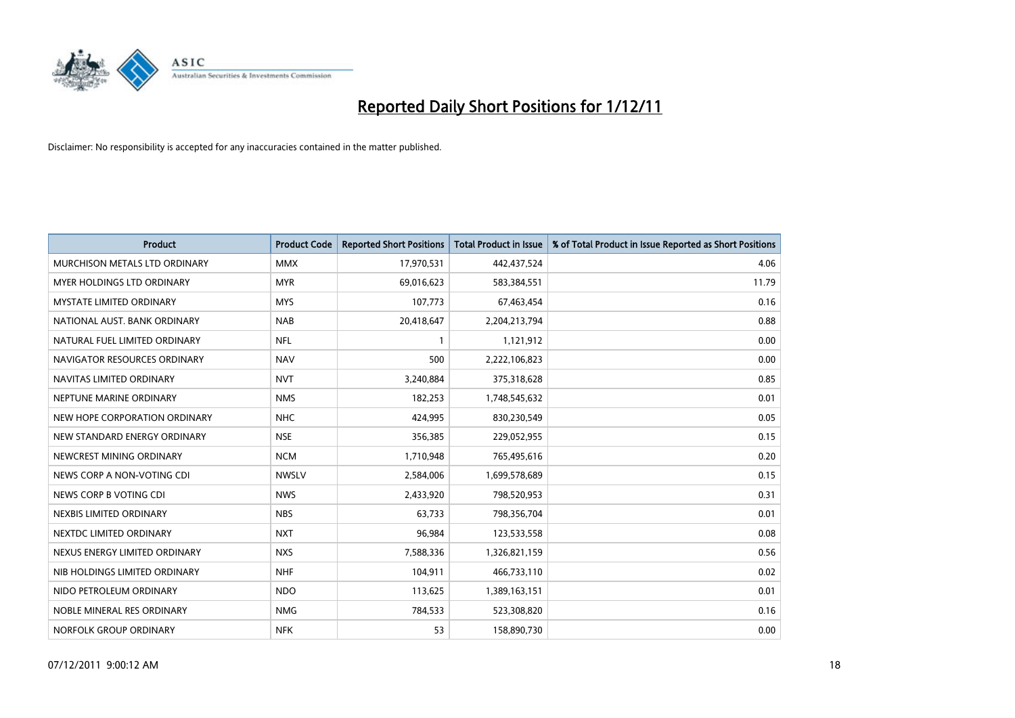

| Product                         | <b>Product Code</b> | <b>Reported Short Positions</b> | <b>Total Product in Issue</b> | % of Total Product in Issue Reported as Short Positions |
|---------------------------------|---------------------|---------------------------------|-------------------------------|---------------------------------------------------------|
| MURCHISON METALS LTD ORDINARY   | <b>MMX</b>          | 17,970,531                      | 442,437,524                   | 4.06                                                    |
| MYER HOLDINGS LTD ORDINARY      | <b>MYR</b>          | 69,016,623                      | 583,384,551                   | 11.79                                                   |
| <b>MYSTATE LIMITED ORDINARY</b> | <b>MYS</b>          | 107,773                         | 67,463,454                    | 0.16                                                    |
| NATIONAL AUST, BANK ORDINARY    | <b>NAB</b>          | 20,418,647                      | 2,204,213,794                 | 0.88                                                    |
| NATURAL FUEL LIMITED ORDINARY   | <b>NFL</b>          | $\mathbf{1}$                    | 1,121,912                     | 0.00                                                    |
| NAVIGATOR RESOURCES ORDINARY    | <b>NAV</b>          | 500                             | 2,222,106,823                 | 0.00                                                    |
| NAVITAS LIMITED ORDINARY        | <b>NVT</b>          | 3,240,884                       | 375,318,628                   | 0.85                                                    |
| NEPTUNE MARINE ORDINARY         | <b>NMS</b>          | 182,253                         | 1,748,545,632                 | 0.01                                                    |
| NEW HOPE CORPORATION ORDINARY   | <b>NHC</b>          | 424,995                         | 830,230,549                   | 0.05                                                    |
| NEW STANDARD ENERGY ORDINARY    | <b>NSE</b>          | 356,385                         | 229,052,955                   | 0.15                                                    |
| NEWCREST MINING ORDINARY        | <b>NCM</b>          | 1,710,948                       | 765,495,616                   | 0.20                                                    |
| NEWS CORP A NON-VOTING CDI      | <b>NWSLV</b>        | 2,584,006                       | 1,699,578,689                 | 0.15                                                    |
| NEWS CORP B VOTING CDI          | <b>NWS</b>          | 2,433,920                       | 798,520,953                   | 0.31                                                    |
| NEXBIS LIMITED ORDINARY         | <b>NBS</b>          | 63,733                          | 798,356,704                   | 0.01                                                    |
| NEXTDC LIMITED ORDINARY         | <b>NXT</b>          | 96,984                          | 123,533,558                   | 0.08                                                    |
| NEXUS ENERGY LIMITED ORDINARY   | <b>NXS</b>          | 7,588,336                       | 1,326,821,159                 | 0.56                                                    |
| NIB HOLDINGS LIMITED ORDINARY   | <b>NHF</b>          | 104,911                         | 466,733,110                   | 0.02                                                    |
| NIDO PETROLEUM ORDINARY         | <b>NDO</b>          | 113,625                         | 1,389,163,151                 | 0.01                                                    |
| NOBLE MINERAL RES ORDINARY      | <b>NMG</b>          | 784,533                         | 523,308,820                   | 0.16                                                    |
| NORFOLK GROUP ORDINARY          | <b>NFK</b>          | 53                              | 158,890,730                   | 0.00                                                    |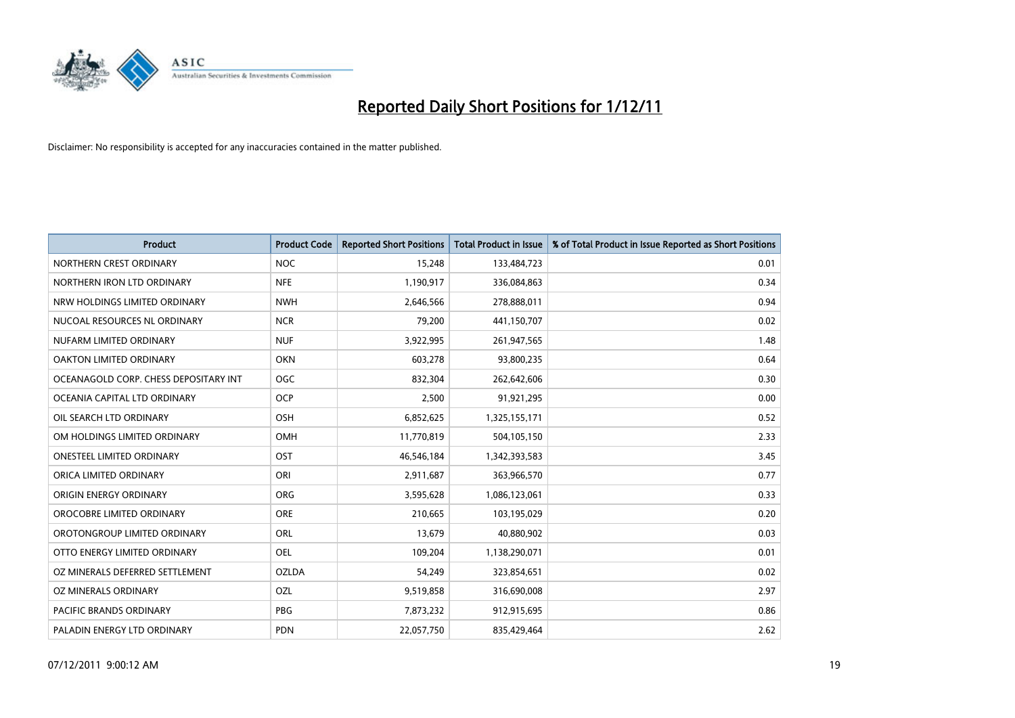

| Product                               | <b>Product Code</b> | <b>Reported Short Positions</b> | <b>Total Product in Issue</b> | % of Total Product in Issue Reported as Short Positions |
|---------------------------------------|---------------------|---------------------------------|-------------------------------|---------------------------------------------------------|
| NORTHERN CREST ORDINARY               | <b>NOC</b>          | 15,248                          | 133,484,723                   | 0.01                                                    |
| NORTHERN IRON LTD ORDINARY            | <b>NFE</b>          | 1,190,917                       | 336,084,863                   | 0.34                                                    |
| NRW HOLDINGS LIMITED ORDINARY         | <b>NWH</b>          | 2,646,566                       | 278,888,011                   | 0.94                                                    |
| NUCOAL RESOURCES NL ORDINARY          | <b>NCR</b>          | 79,200                          | 441,150,707                   | 0.02                                                    |
| NUFARM LIMITED ORDINARY               | <b>NUF</b>          | 3,922,995                       | 261,947,565                   | 1.48                                                    |
| <b>OAKTON LIMITED ORDINARY</b>        | <b>OKN</b>          | 603,278                         | 93,800,235                    | 0.64                                                    |
| OCEANAGOLD CORP. CHESS DEPOSITARY INT | <b>OGC</b>          | 832,304                         | 262,642,606                   | 0.30                                                    |
| OCEANIA CAPITAL LTD ORDINARY          | <b>OCP</b>          | 2,500                           | 91,921,295                    | 0.00                                                    |
| OIL SEARCH LTD ORDINARY               | OSH                 | 6,852,625                       | 1,325,155,171                 | 0.52                                                    |
| OM HOLDINGS LIMITED ORDINARY          | OMH                 | 11,770,819                      | 504,105,150                   | 2.33                                                    |
| <b>ONESTEEL LIMITED ORDINARY</b>      | OST                 | 46,546,184                      | 1,342,393,583                 | 3.45                                                    |
| ORICA LIMITED ORDINARY                | ORI                 | 2,911,687                       | 363,966,570                   | 0.77                                                    |
| ORIGIN ENERGY ORDINARY                | <b>ORG</b>          | 3,595,628                       | 1,086,123,061                 | 0.33                                                    |
| OROCOBRE LIMITED ORDINARY             | <b>ORE</b>          | 210,665                         | 103,195,029                   | 0.20                                                    |
| OROTONGROUP LIMITED ORDINARY          | ORL                 | 13,679                          | 40,880,902                    | 0.03                                                    |
| OTTO ENERGY LIMITED ORDINARY          | <b>OEL</b>          | 109,204                         | 1,138,290,071                 | 0.01                                                    |
| OZ MINERALS DEFERRED SETTLEMENT       | <b>OZLDA</b>        | 54,249                          | 323,854,651                   | 0.02                                                    |
| OZ MINERALS ORDINARY                  | OZL                 | 9,519,858                       | 316,690,008                   | 2.97                                                    |
| <b>PACIFIC BRANDS ORDINARY</b>        | <b>PBG</b>          | 7,873,232                       | 912,915,695                   | 0.86                                                    |
| PALADIN ENERGY LTD ORDINARY           | <b>PDN</b>          | 22,057,750                      | 835,429,464                   | 2.62                                                    |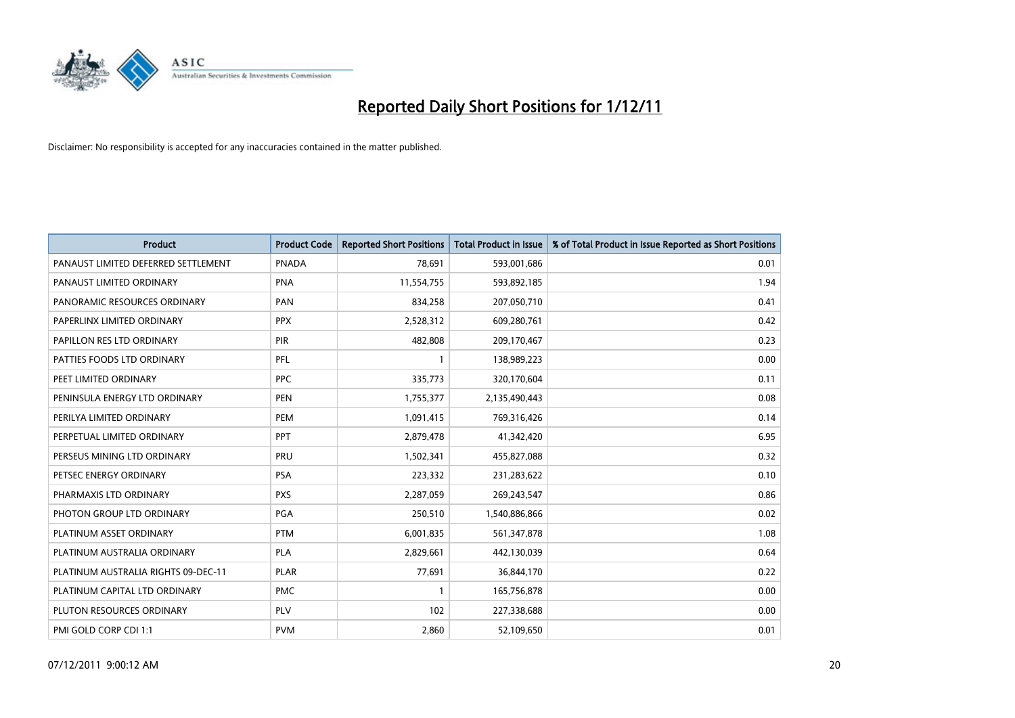

| Product                             | <b>Product Code</b> | <b>Reported Short Positions</b> | <b>Total Product in Issue</b> | % of Total Product in Issue Reported as Short Positions |
|-------------------------------------|---------------------|---------------------------------|-------------------------------|---------------------------------------------------------|
| PANAUST LIMITED DEFERRED SETTLEMENT | <b>PNADA</b>        | 78,691                          | 593,001,686                   | 0.01                                                    |
| PANAUST LIMITED ORDINARY            | <b>PNA</b>          | 11,554,755                      | 593,892,185                   | 1.94                                                    |
| PANORAMIC RESOURCES ORDINARY        | PAN                 | 834,258                         | 207,050,710                   | 0.41                                                    |
| PAPERLINX LIMITED ORDINARY          | <b>PPX</b>          | 2,528,312                       | 609,280,761                   | 0.42                                                    |
| PAPILLON RES LTD ORDINARY           | <b>PIR</b>          | 482,808                         | 209,170,467                   | 0.23                                                    |
| PATTIES FOODS LTD ORDINARY          | PFL                 | 1                               | 138,989,223                   | 0.00                                                    |
| PEET LIMITED ORDINARY               | <b>PPC</b>          | 335,773                         | 320,170,604                   | 0.11                                                    |
| PENINSULA ENERGY LTD ORDINARY       | <b>PEN</b>          | 1,755,377                       | 2,135,490,443                 | 0.08                                                    |
| PERILYA LIMITED ORDINARY            | PEM                 | 1,091,415                       | 769,316,426                   | 0.14                                                    |
| PERPETUAL LIMITED ORDINARY          | PPT                 | 2,879,478                       | 41,342,420                    | 6.95                                                    |
| PERSEUS MINING LTD ORDINARY         | <b>PRU</b>          | 1,502,341                       | 455,827,088                   | 0.32                                                    |
| PETSEC ENERGY ORDINARY              | <b>PSA</b>          | 223,332                         | 231,283,622                   | 0.10                                                    |
| PHARMAXIS LTD ORDINARY              | <b>PXS</b>          | 2,287,059                       | 269,243,547                   | 0.86                                                    |
| PHOTON GROUP LTD ORDINARY           | PGA                 | 250,510                         | 1,540,886,866                 | 0.02                                                    |
| PLATINUM ASSET ORDINARY             | <b>PTM</b>          | 6,001,835                       | 561,347,878                   | 1.08                                                    |
| PLATINUM AUSTRALIA ORDINARY         | PLA                 | 2,829,661                       | 442,130,039                   | 0.64                                                    |
| PLATINUM AUSTRALIA RIGHTS 09-DEC-11 | <b>PLAR</b>         | 77,691                          | 36,844,170                    | 0.22                                                    |
| PLATINUM CAPITAL LTD ORDINARY       | <b>PMC</b>          | 1                               | 165,756,878                   | 0.00                                                    |
| PLUTON RESOURCES ORDINARY           | <b>PLV</b>          | 102                             | 227,338,688                   | 0.00                                                    |
| PMI GOLD CORP CDI 1:1               | <b>PVM</b>          | 2,860                           | 52,109,650                    | 0.01                                                    |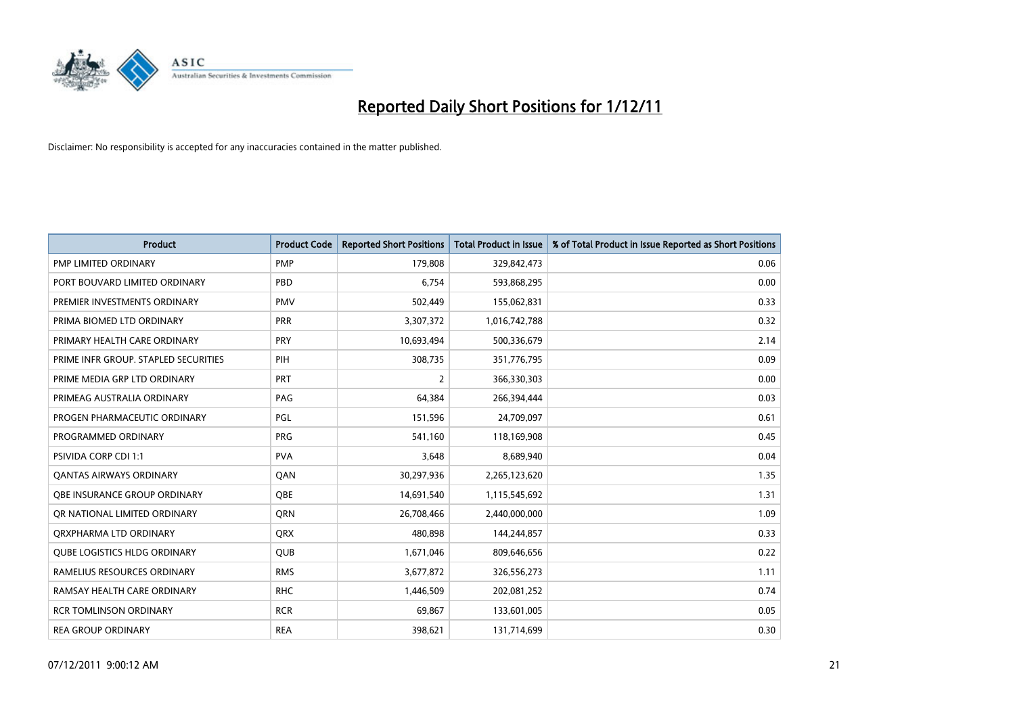

| Product                              | <b>Product Code</b> | <b>Reported Short Positions</b> | <b>Total Product in Issue</b> | % of Total Product in Issue Reported as Short Positions |
|--------------------------------------|---------------------|---------------------------------|-------------------------------|---------------------------------------------------------|
| <b>PMP LIMITED ORDINARY</b>          | <b>PMP</b>          | 179,808                         | 329,842,473                   | 0.06                                                    |
| PORT BOUVARD LIMITED ORDINARY        | PBD                 | 6,754                           | 593,868,295                   | 0.00                                                    |
| PREMIER INVESTMENTS ORDINARY         | <b>PMV</b>          | 502,449                         | 155,062,831                   | 0.33                                                    |
| PRIMA BIOMED LTD ORDINARY            | <b>PRR</b>          | 3,307,372                       | 1,016,742,788                 | 0.32                                                    |
| PRIMARY HEALTH CARE ORDINARY         | <b>PRY</b>          | 10,693,494                      | 500,336,679                   | 2.14                                                    |
| PRIME INFR GROUP. STAPLED SECURITIES | PIH                 | 308,735                         | 351,776,795                   | 0.09                                                    |
| PRIME MEDIA GRP LTD ORDINARY         | <b>PRT</b>          | 2                               | 366,330,303                   | 0.00                                                    |
| PRIMEAG AUSTRALIA ORDINARY           | PAG                 | 64,384                          | 266,394,444                   | 0.03                                                    |
| PROGEN PHARMACEUTIC ORDINARY         | PGL                 | 151,596                         | 24,709,097                    | 0.61                                                    |
| PROGRAMMED ORDINARY                  | <b>PRG</b>          | 541,160                         | 118,169,908                   | 0.45                                                    |
| <b>PSIVIDA CORP CDI 1:1</b>          | <b>PVA</b>          | 3,648                           | 8,689,940                     | 0.04                                                    |
| <b>QANTAS AIRWAYS ORDINARY</b>       | QAN                 | 30,297,936                      | 2,265,123,620                 | 1.35                                                    |
| OBE INSURANCE GROUP ORDINARY         | <b>OBE</b>          | 14,691,540                      | 1,115,545,692                 | 1.31                                                    |
| OR NATIONAL LIMITED ORDINARY         | <b>ORN</b>          | 26,708,466                      | 2,440,000,000                 | 1.09                                                    |
| ORXPHARMA LTD ORDINARY               | <b>ORX</b>          | 480,898                         | 144,244,857                   | 0.33                                                    |
| <b>QUBE LOGISTICS HLDG ORDINARY</b>  | <b>QUB</b>          | 1,671,046                       | 809,646,656                   | 0.22                                                    |
| RAMELIUS RESOURCES ORDINARY          | <b>RMS</b>          | 3,677,872                       | 326,556,273                   | 1.11                                                    |
| RAMSAY HEALTH CARE ORDINARY          | <b>RHC</b>          | 1,446,509                       | 202,081,252                   | 0.74                                                    |
| <b>RCR TOMLINSON ORDINARY</b>        | <b>RCR</b>          | 69,867                          | 133,601,005                   | 0.05                                                    |
| <b>REA GROUP ORDINARY</b>            | <b>REA</b>          | 398,621                         | 131,714,699                   | 0.30                                                    |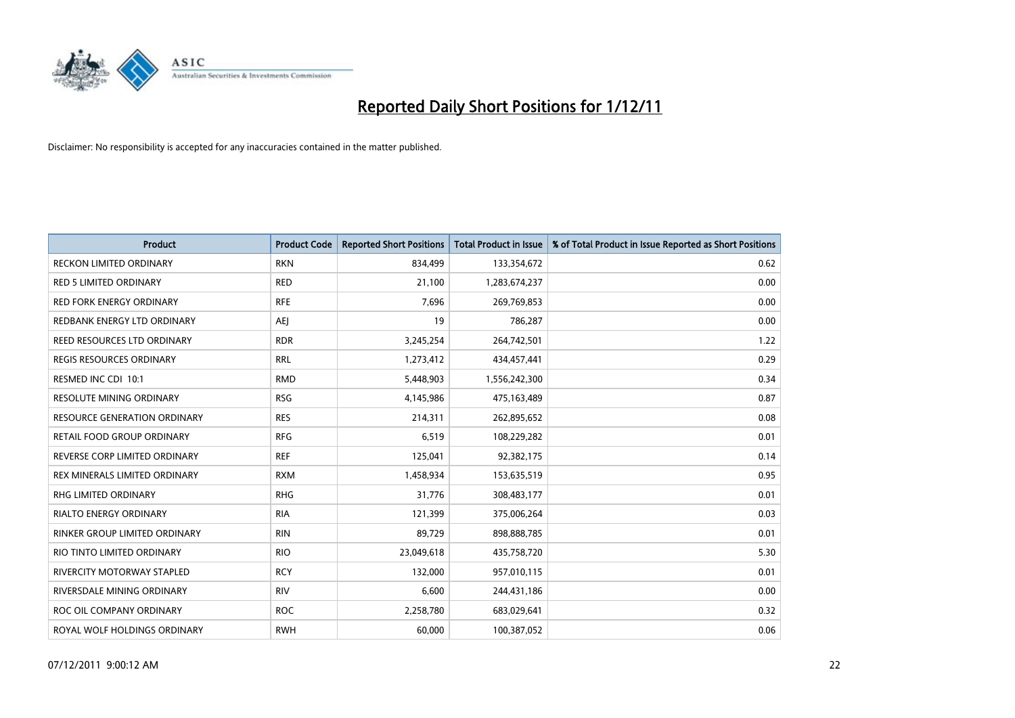

| Product                             | <b>Product Code</b> | <b>Reported Short Positions</b> | <b>Total Product in Issue</b> | % of Total Product in Issue Reported as Short Positions |
|-------------------------------------|---------------------|---------------------------------|-------------------------------|---------------------------------------------------------|
| <b>RECKON LIMITED ORDINARY</b>      | <b>RKN</b>          | 834,499                         | 133,354,672                   | 0.62                                                    |
| <b>RED 5 LIMITED ORDINARY</b>       | <b>RED</b>          | 21,100                          | 1,283,674,237                 | 0.00                                                    |
| <b>RED FORK ENERGY ORDINARY</b>     | <b>RFE</b>          | 7,696                           | 269,769,853                   | 0.00                                                    |
| REDBANK ENERGY LTD ORDINARY         | <b>AEJ</b>          | 19                              | 786,287                       | 0.00                                                    |
| REED RESOURCES LTD ORDINARY         | <b>RDR</b>          | 3,245,254                       | 264,742,501                   | 1.22                                                    |
| <b>REGIS RESOURCES ORDINARY</b>     | <b>RRL</b>          | 1,273,412                       | 434,457,441                   | 0.29                                                    |
| RESMED INC CDI 10:1                 | <b>RMD</b>          | 5,448,903                       | 1,556,242,300                 | 0.34                                                    |
| RESOLUTE MINING ORDINARY            | <b>RSG</b>          | 4,145,986                       | 475,163,489                   | 0.87                                                    |
| <b>RESOURCE GENERATION ORDINARY</b> | <b>RES</b>          | 214,311                         | 262,895,652                   | 0.08                                                    |
| <b>RETAIL FOOD GROUP ORDINARY</b>   | <b>RFG</b>          | 6,519                           | 108,229,282                   | 0.01                                                    |
| REVERSE CORP LIMITED ORDINARY       | <b>REF</b>          | 125,041                         | 92,382,175                    | 0.14                                                    |
| REX MINERALS LIMITED ORDINARY       | <b>RXM</b>          | 1,458,934                       | 153,635,519                   | 0.95                                                    |
| RHG LIMITED ORDINARY                | <b>RHG</b>          | 31,776                          | 308,483,177                   | 0.01                                                    |
| <b>RIALTO ENERGY ORDINARY</b>       | <b>RIA</b>          | 121,399                         | 375,006,264                   | 0.03                                                    |
| RINKER GROUP LIMITED ORDINARY       | <b>RIN</b>          | 89,729                          | 898,888,785                   | 0.01                                                    |
| RIO TINTO LIMITED ORDINARY          | <b>RIO</b>          | 23,049,618                      | 435,758,720                   | 5.30                                                    |
| RIVERCITY MOTORWAY STAPLED          | <b>RCY</b>          | 132,000                         | 957,010,115                   | 0.01                                                    |
| RIVERSDALE MINING ORDINARY          | <b>RIV</b>          | 6,600                           | 244,431,186                   | 0.00                                                    |
| ROC OIL COMPANY ORDINARY            | <b>ROC</b>          | 2,258,780                       | 683,029,641                   | 0.32                                                    |
| ROYAL WOLF HOLDINGS ORDINARY        | <b>RWH</b>          | 60,000                          | 100,387,052                   | 0.06                                                    |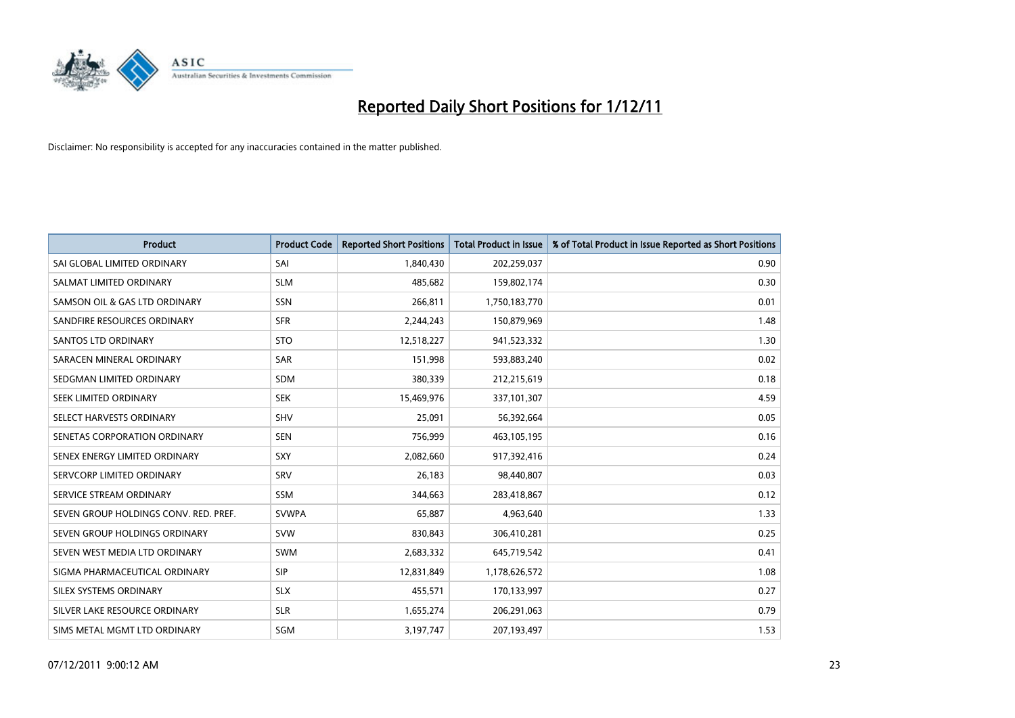

| Product                               | <b>Product Code</b> | <b>Reported Short Positions</b> | <b>Total Product in Issue</b> | % of Total Product in Issue Reported as Short Positions |
|---------------------------------------|---------------------|---------------------------------|-------------------------------|---------------------------------------------------------|
| SAI GLOBAL LIMITED ORDINARY           | SAI                 | 1,840,430                       | 202,259,037                   | 0.90                                                    |
| SALMAT LIMITED ORDINARY               | <b>SLM</b>          | 485,682                         | 159,802,174                   | 0.30                                                    |
| SAMSON OIL & GAS LTD ORDINARY         | <b>SSN</b>          | 266,811                         | 1,750,183,770                 | 0.01                                                    |
| SANDFIRE RESOURCES ORDINARY           | <b>SFR</b>          | 2,244,243                       | 150,879,969                   | 1.48                                                    |
| <b>SANTOS LTD ORDINARY</b>            | <b>STO</b>          | 12,518,227                      | 941,523,332                   | 1.30                                                    |
| SARACEN MINERAL ORDINARY              | SAR                 | 151,998                         | 593,883,240                   | 0.02                                                    |
| SEDGMAN LIMITED ORDINARY              | <b>SDM</b>          | 380,339                         | 212,215,619                   | 0.18                                                    |
| SEEK LIMITED ORDINARY                 | <b>SEK</b>          | 15,469,976                      | 337,101,307                   | 4.59                                                    |
| SELECT HARVESTS ORDINARY              | SHV                 | 25,091                          | 56,392,664                    | 0.05                                                    |
| SENETAS CORPORATION ORDINARY          | <b>SEN</b>          | 756,999                         | 463,105,195                   | 0.16                                                    |
| SENEX ENERGY LIMITED ORDINARY         | <b>SXY</b>          | 2,082,660                       | 917,392,416                   | 0.24                                                    |
| SERVCORP LIMITED ORDINARY             | SRV                 | 26,183                          | 98,440,807                    | 0.03                                                    |
| SERVICE STREAM ORDINARY               | SSM                 | 344,663                         | 283,418,867                   | 0.12                                                    |
| SEVEN GROUP HOLDINGS CONV. RED. PREF. | <b>SVWPA</b>        | 65,887                          | 4,963,640                     | 1.33                                                    |
| SEVEN GROUP HOLDINGS ORDINARY         | <b>SVW</b>          | 830,843                         | 306,410,281                   | 0.25                                                    |
| SEVEN WEST MEDIA LTD ORDINARY         | SWM                 | 2,683,332                       | 645,719,542                   | 0.41                                                    |
| SIGMA PHARMACEUTICAL ORDINARY         | <b>SIP</b>          | 12,831,849                      | 1,178,626,572                 | 1.08                                                    |
| SILEX SYSTEMS ORDINARY                | <b>SLX</b>          | 455,571                         | 170,133,997                   | 0.27                                                    |
| SILVER LAKE RESOURCE ORDINARY         | <b>SLR</b>          | 1,655,274                       | 206,291,063                   | 0.79                                                    |
| SIMS METAL MGMT LTD ORDINARY          | SGM                 | 3,197,747                       | 207,193,497                   | 1.53                                                    |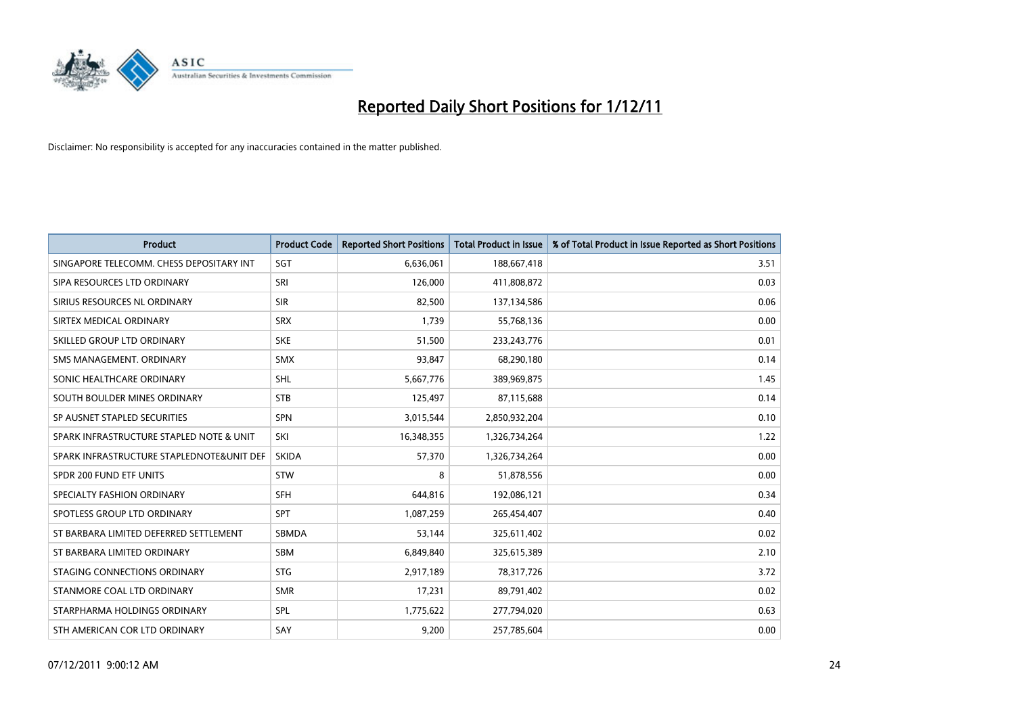

| <b>Product</b>                            | <b>Product Code</b> | <b>Reported Short Positions</b> | <b>Total Product in Issue</b> | % of Total Product in Issue Reported as Short Positions |
|-------------------------------------------|---------------------|---------------------------------|-------------------------------|---------------------------------------------------------|
| SINGAPORE TELECOMM. CHESS DEPOSITARY INT  | SGT                 | 6,636,061                       | 188,667,418                   | 3.51                                                    |
| SIPA RESOURCES LTD ORDINARY               | SRI                 | 126,000                         | 411,808,872                   | 0.03                                                    |
| SIRIUS RESOURCES NL ORDINARY              | <b>SIR</b>          | 82,500                          | 137,134,586                   | 0.06                                                    |
| SIRTEX MEDICAL ORDINARY                   | <b>SRX</b>          | 1.739                           | 55,768,136                    | 0.00                                                    |
| SKILLED GROUP LTD ORDINARY                | <b>SKE</b>          | 51,500                          | 233, 243, 776                 | 0.01                                                    |
| SMS MANAGEMENT, ORDINARY                  | <b>SMX</b>          | 93,847                          | 68,290,180                    | 0.14                                                    |
| SONIC HEALTHCARE ORDINARY                 | <b>SHL</b>          | 5,667,776                       | 389,969,875                   | 1.45                                                    |
| SOUTH BOULDER MINES ORDINARY              | <b>STB</b>          | 125,497                         | 87,115,688                    | 0.14                                                    |
| SP AUSNET STAPLED SECURITIES              | <b>SPN</b>          | 3,015,544                       | 2,850,932,204                 | 0.10                                                    |
| SPARK INFRASTRUCTURE STAPLED NOTE & UNIT  | SKI                 | 16,348,355                      | 1,326,734,264                 | 1.22                                                    |
| SPARK INFRASTRUCTURE STAPLEDNOTE&UNIT DEF | <b>SKIDA</b>        | 57,370                          | 1,326,734,264                 | 0.00                                                    |
| SPDR 200 FUND ETF UNITS                   | <b>STW</b>          | 8                               | 51,878,556                    | 0.00                                                    |
| SPECIALTY FASHION ORDINARY                | <b>SFH</b>          | 644,816                         | 192,086,121                   | 0.34                                                    |
| SPOTLESS GROUP LTD ORDINARY               | <b>SPT</b>          | 1,087,259                       | 265,454,407                   | 0.40                                                    |
| ST BARBARA LIMITED DEFERRED SETTLEMENT    | SBMDA               | 53,144                          | 325,611,402                   | 0.02                                                    |
| ST BARBARA LIMITED ORDINARY               | SBM                 | 6,849,840                       | 325,615,389                   | 2.10                                                    |
| STAGING CONNECTIONS ORDINARY              | <b>STG</b>          | 2,917,189                       | 78,317,726                    | 3.72                                                    |
| STANMORE COAL LTD ORDINARY                | <b>SMR</b>          | 17,231                          | 89,791,402                    | 0.02                                                    |
| STARPHARMA HOLDINGS ORDINARY              | <b>SPL</b>          | 1,775,622                       | 277,794,020                   | 0.63                                                    |
| STH AMERICAN COR LTD ORDINARY             | SAY                 | 9,200                           | 257,785,604                   | 0.00                                                    |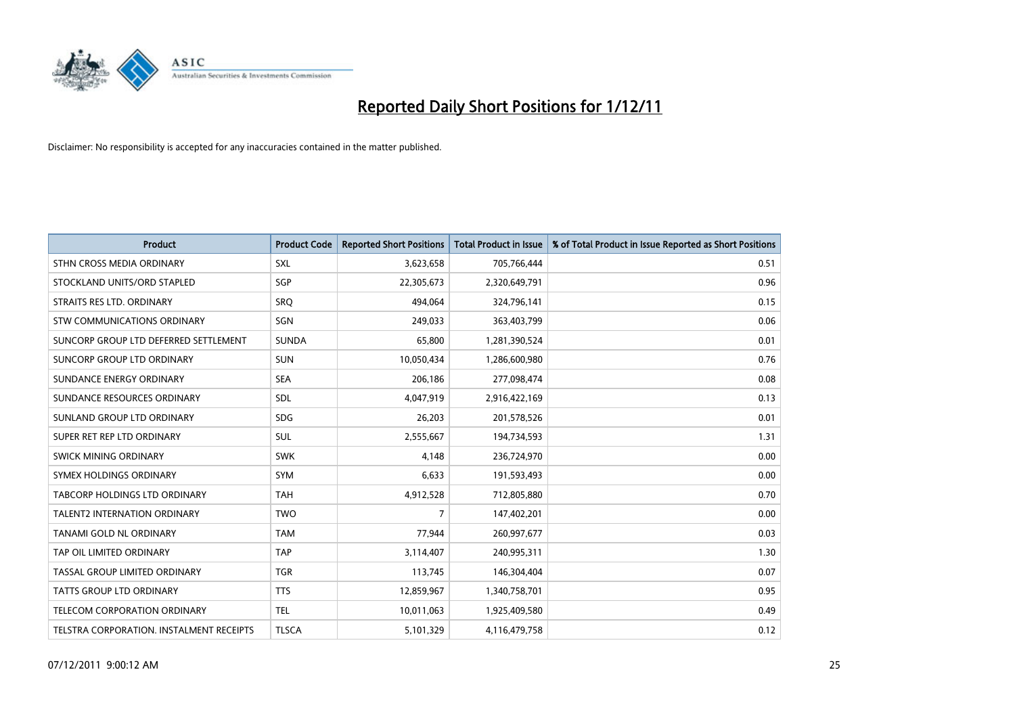

| <b>Product</b>                           | <b>Product Code</b> | <b>Reported Short Positions</b> | <b>Total Product in Issue</b> | % of Total Product in Issue Reported as Short Positions |
|------------------------------------------|---------------------|---------------------------------|-------------------------------|---------------------------------------------------------|
| STHN CROSS MEDIA ORDINARY                | <b>SXL</b>          | 3,623,658                       | 705,766,444                   | 0.51                                                    |
| STOCKLAND UNITS/ORD STAPLED              | SGP                 | 22,305,673                      | 2,320,649,791                 | 0.96                                                    |
| STRAITS RES LTD. ORDINARY                | <b>SRQ</b>          | 494,064                         | 324,796,141                   | 0.15                                                    |
| STW COMMUNICATIONS ORDINARY              | SGN                 | 249,033                         | 363,403,799                   | 0.06                                                    |
| SUNCORP GROUP LTD DEFERRED SETTLEMENT    | <b>SUNDA</b>        | 65,800                          | 1,281,390,524                 | 0.01                                                    |
| SUNCORP GROUP LTD ORDINARY               | <b>SUN</b>          | 10,050,434                      | 1,286,600,980                 | 0.76                                                    |
| SUNDANCE ENERGY ORDINARY                 | <b>SEA</b>          | 206,186                         | 277,098,474                   | 0.08                                                    |
| SUNDANCE RESOURCES ORDINARY              | <b>SDL</b>          | 4,047,919                       | 2,916,422,169                 | 0.13                                                    |
| SUNLAND GROUP LTD ORDINARY               | <b>SDG</b>          | 26,203                          | 201,578,526                   | 0.01                                                    |
| SUPER RET REP LTD ORDINARY               | <b>SUL</b>          | 2,555,667                       | 194,734,593                   | 1.31                                                    |
| SWICK MINING ORDINARY                    | <b>SWK</b>          | 4,148                           | 236,724,970                   | 0.00                                                    |
| SYMEX HOLDINGS ORDINARY                  | SYM                 | 6,633                           | 191,593,493                   | 0.00                                                    |
| <b>TABCORP HOLDINGS LTD ORDINARY</b>     | <b>TAH</b>          | 4,912,528                       | 712,805,880                   | 0.70                                                    |
| <b>TALENT2 INTERNATION ORDINARY</b>      | <b>TWO</b>          | 7                               | 147,402,201                   | 0.00                                                    |
| TANAMI GOLD NL ORDINARY                  | <b>TAM</b>          | 77,944                          | 260,997,677                   | 0.03                                                    |
| TAP OIL LIMITED ORDINARY                 | <b>TAP</b>          | 3,114,407                       | 240,995,311                   | 1.30                                                    |
| TASSAL GROUP LIMITED ORDINARY            | <b>TGR</b>          | 113,745                         | 146,304,404                   | 0.07                                                    |
| TATTS GROUP LTD ORDINARY                 | <b>TTS</b>          | 12,859,967                      | 1,340,758,701                 | 0.95                                                    |
| TELECOM CORPORATION ORDINARY             | <b>TEL</b>          | 10,011,063                      | 1,925,409,580                 | 0.49                                                    |
| TELSTRA CORPORATION. INSTALMENT RECEIPTS | <b>TLSCA</b>        | 5,101,329                       | 4,116,479,758                 | 0.12                                                    |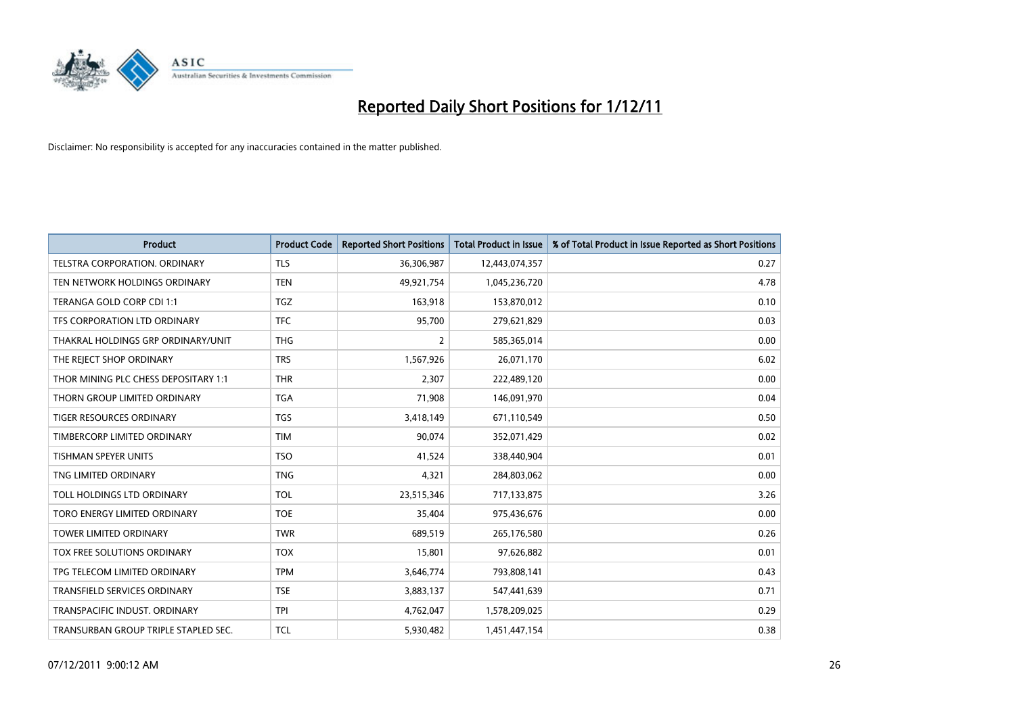

| <b>Product</b>                       | <b>Product Code</b> | <b>Reported Short Positions</b> | <b>Total Product in Issue</b> | % of Total Product in Issue Reported as Short Positions |
|--------------------------------------|---------------------|---------------------------------|-------------------------------|---------------------------------------------------------|
| <b>TELSTRA CORPORATION, ORDINARY</b> | <b>TLS</b>          | 36,306,987                      | 12,443,074,357                | 0.27                                                    |
| TEN NETWORK HOLDINGS ORDINARY        | <b>TEN</b>          | 49,921,754                      | 1,045,236,720                 | 4.78                                                    |
| TERANGA GOLD CORP CDI 1:1            | <b>TGZ</b>          | 163,918                         | 153,870,012                   | 0.10                                                    |
| TFS CORPORATION LTD ORDINARY         | <b>TFC</b>          | 95,700                          | 279,621,829                   | 0.03                                                    |
| THAKRAL HOLDINGS GRP ORDINARY/UNIT   | <b>THG</b>          | 2                               | 585,365,014                   | 0.00                                                    |
| THE REJECT SHOP ORDINARY             | <b>TRS</b>          | 1,567,926                       | 26,071,170                    | 6.02                                                    |
| THOR MINING PLC CHESS DEPOSITARY 1:1 | <b>THR</b>          | 2,307                           | 222,489,120                   | 0.00                                                    |
| THORN GROUP LIMITED ORDINARY         | <b>TGA</b>          | 71,908                          | 146,091,970                   | 0.04                                                    |
| TIGER RESOURCES ORDINARY             | <b>TGS</b>          | 3,418,149                       | 671,110,549                   | 0.50                                                    |
| TIMBERCORP LIMITED ORDINARY          | <b>TIM</b>          | 90,074                          | 352,071,429                   | 0.02                                                    |
| <b>TISHMAN SPEYER UNITS</b>          | <b>TSO</b>          | 41,524                          | 338,440,904                   | 0.01                                                    |
| TNG LIMITED ORDINARY                 | <b>TNG</b>          | 4,321                           | 284,803,062                   | 0.00                                                    |
| TOLL HOLDINGS LTD ORDINARY           | <b>TOL</b>          | 23,515,346                      | 717,133,875                   | 3.26                                                    |
| TORO ENERGY LIMITED ORDINARY         | <b>TOE</b>          | 35,404                          | 975,436,676                   | 0.00                                                    |
| TOWER LIMITED ORDINARY               | <b>TWR</b>          | 689,519                         | 265,176,580                   | 0.26                                                    |
| TOX FREE SOLUTIONS ORDINARY          | <b>TOX</b>          | 15,801                          | 97,626,882                    | 0.01                                                    |
| TPG TELECOM LIMITED ORDINARY         | <b>TPM</b>          | 3,646,774                       | 793,808,141                   | 0.43                                                    |
| TRANSFIELD SERVICES ORDINARY         | <b>TSE</b>          | 3,883,137                       | 547,441,639                   | 0.71                                                    |
| TRANSPACIFIC INDUST, ORDINARY        | <b>TPI</b>          | 4,762,047                       | 1,578,209,025                 | 0.29                                                    |
| TRANSURBAN GROUP TRIPLE STAPLED SEC. | <b>TCL</b>          | 5,930,482                       | 1,451,447,154                 | 0.38                                                    |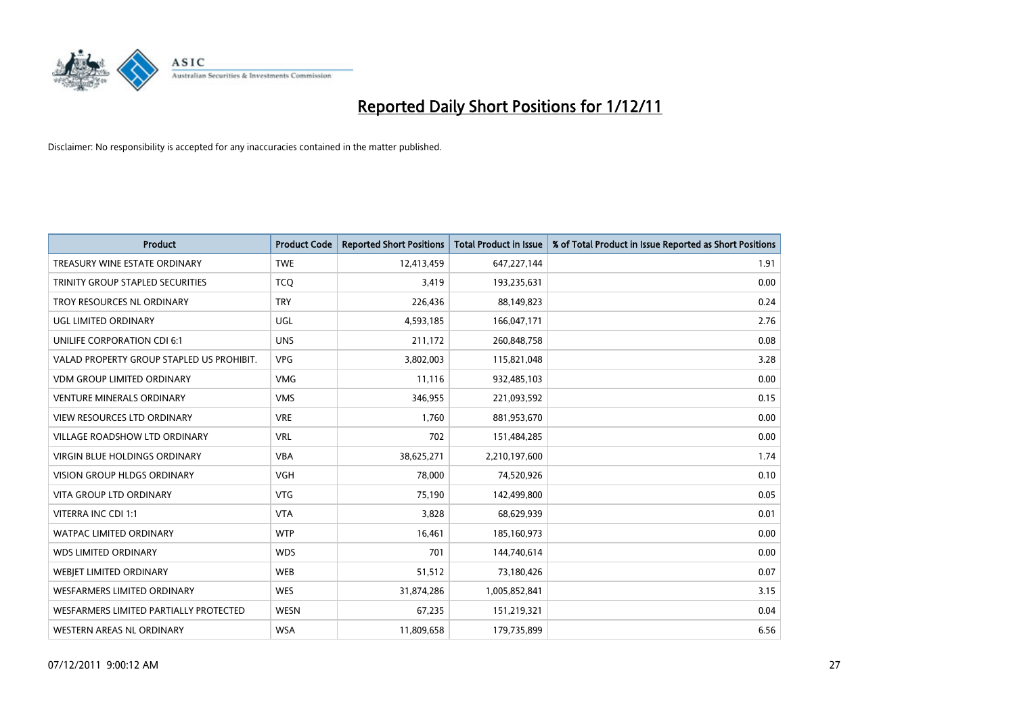

| Product                                   | <b>Product Code</b> | <b>Reported Short Positions</b> | <b>Total Product in Issue</b> | % of Total Product in Issue Reported as Short Positions |
|-------------------------------------------|---------------------|---------------------------------|-------------------------------|---------------------------------------------------------|
| TREASURY WINE ESTATE ORDINARY             | <b>TWE</b>          | 12,413,459                      | 647,227,144                   | 1.91                                                    |
| TRINITY GROUP STAPLED SECURITIES          | <b>TCQ</b>          | 3,419                           | 193,235,631                   | 0.00                                                    |
| TROY RESOURCES NL ORDINARY                | <b>TRY</b>          | 226,436                         | 88,149,823                    | 0.24                                                    |
| <b>UGL LIMITED ORDINARY</b>               | <b>UGL</b>          | 4,593,185                       | 166,047,171                   | 2.76                                                    |
| UNILIFE CORPORATION CDI 6:1               | <b>UNS</b>          | 211,172                         | 260,848,758                   | 0.08                                                    |
| VALAD PROPERTY GROUP STAPLED US PROHIBIT. | <b>VPG</b>          | 3,802,003                       | 115,821,048                   | 3.28                                                    |
| <b>VDM GROUP LIMITED ORDINARY</b>         | <b>VMG</b>          | 11,116                          | 932,485,103                   | 0.00                                                    |
| <b>VENTURE MINERALS ORDINARY</b>          | <b>VMS</b>          | 346,955                         | 221,093,592                   | 0.15                                                    |
| <b>VIEW RESOURCES LTD ORDINARY</b>        | <b>VRE</b>          | 1,760                           | 881,953,670                   | 0.00                                                    |
| <b>VILLAGE ROADSHOW LTD ORDINARY</b>      | <b>VRL</b>          | 702                             | 151,484,285                   | 0.00                                                    |
| VIRGIN BLUE HOLDINGS ORDINARY             | <b>VBA</b>          | 38,625,271                      | 2,210,197,600                 | 1.74                                                    |
| <b>VISION GROUP HLDGS ORDINARY</b>        | <b>VGH</b>          | 78,000                          | 74,520,926                    | 0.10                                                    |
| <b>VITA GROUP LTD ORDINARY</b>            | <b>VTG</b>          | 75,190                          | 142,499,800                   | 0.05                                                    |
| VITERRA INC CDI 1:1                       | <b>VTA</b>          | 3,828                           | 68,629,939                    | 0.01                                                    |
| <b>WATPAC LIMITED ORDINARY</b>            | <b>WTP</b>          | 16,461                          | 185,160,973                   | 0.00                                                    |
| <b>WDS LIMITED ORDINARY</b>               | <b>WDS</b>          | 701                             | 144,740,614                   | 0.00                                                    |
| WEBIET LIMITED ORDINARY                   | <b>WEB</b>          | 51,512                          | 73,180,426                    | 0.07                                                    |
| <b>WESFARMERS LIMITED ORDINARY</b>        | <b>WES</b>          | 31,874,286                      | 1,005,852,841                 | 3.15                                                    |
| WESFARMERS LIMITED PARTIALLY PROTECTED    | <b>WESN</b>         | 67,235                          | 151,219,321                   | 0.04                                                    |
| <b>WESTERN AREAS NL ORDINARY</b>          | <b>WSA</b>          | 11,809,658                      | 179,735,899                   | 6.56                                                    |